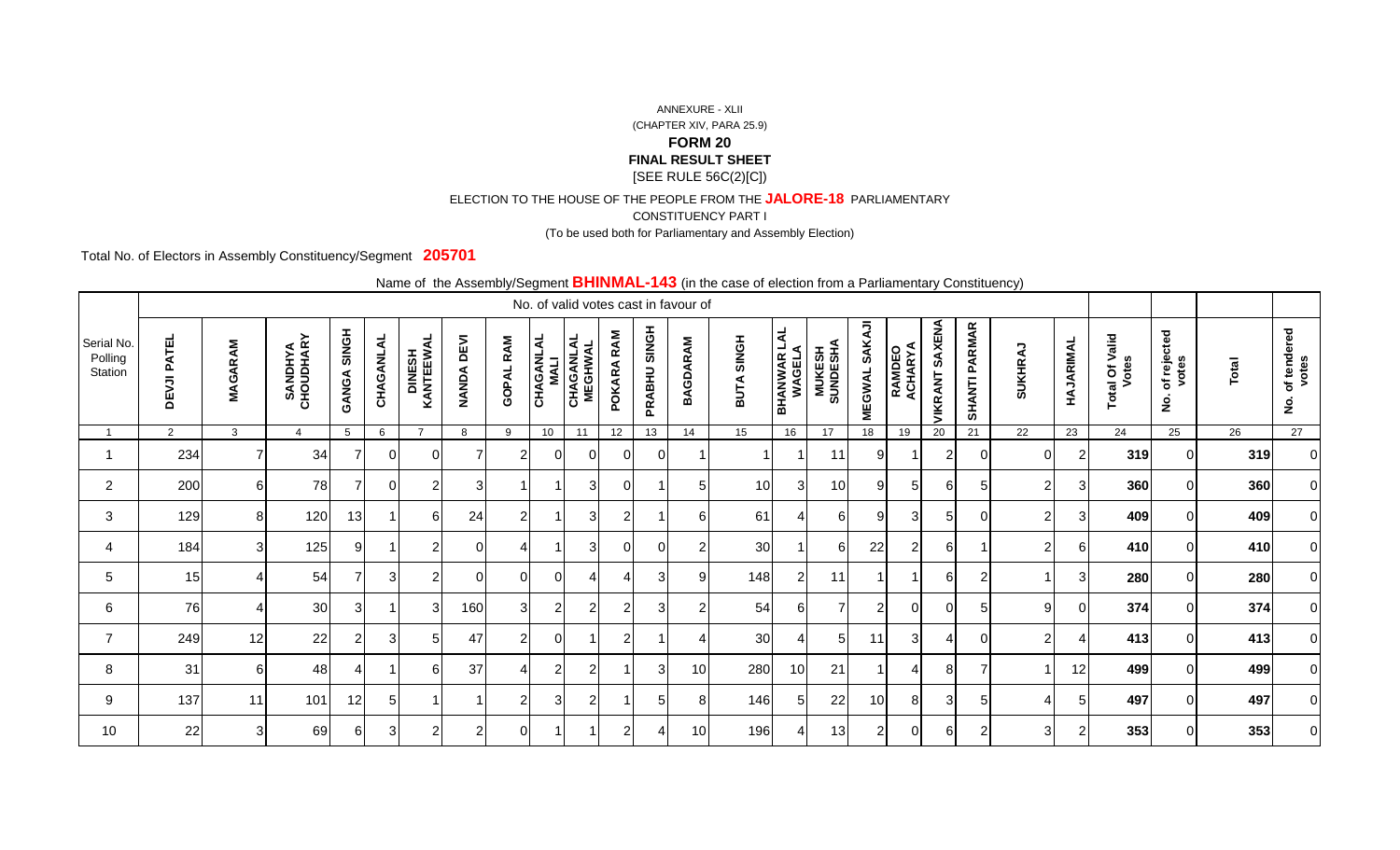## ANNEXURE - XLII (CHAPTER XIV, PARA 25.9)**FORM 20 FINAL RESULT SHEET**[SEE RULE 56C(2)[C])

## ELECTION TO THE HOUSE OF THE PEOPLE FROM THE **JALORE-18** PARLIAMENTARY

CONSTITUENCY PART I

(To be used both for Parliamentary and Assembly Election)

Total No. of Electors in Assembly Constituency/Segment **205701**

Name of the Assembly/Segment **BHINMAL-143** (in the case of election from a Parliamentary Constituency)

|                                  |                |                   |                       |                |                |                             |            |                     |                          |                             |                |                 | No. of valid votes cast in favour of |                             |                               |                            |                         |                          |                          |                      |                |                |                         |                                            |       |                                       |
|----------------------------------|----------------|-------------------|-----------------------|----------------|----------------|-----------------------------|------------|---------------------|--------------------------|-----------------------------|----------------|-----------------|--------------------------------------|-----------------------------|-------------------------------|----------------------------|-------------------------|--------------------------|--------------------------|----------------------|----------------|----------------|-------------------------|--------------------------------------------|-------|---------------------------------------|
| Serial No.<br>Polling<br>Station | DEVJI PATEL    | Μ<br><b>MAGAR</b> | SANDHYA<br>CHOUDHARY  | SINGH<br>GANGA | CHAGANLAL      | <b>DINESH<br/>KANTEEWAL</b> | NANDA DEVI | RAM<br><b>GOPAL</b> | CHAGANLAL<br><b>MALI</b> | <b>CHAGANLAL</b><br>MEGHWAL | RAM<br>POKARA  | SINGH<br>PRABHU | Μ<br><b>BAGDAR</b>                   | <b>SINGH</b><br><b>BUTA</b> | <b>BHANWAR LAL<br/>WAGELA</b> | <b>MUKESH<br/>SUNDESHA</b> | SAKAJI<br><b>MEGWAL</b> | <b>RAMDEO</b><br>ACHARYA | SAXENA<br><b>/IKRANT</b> | <b>SHANTI PARMAR</b> | <b>SUKHRAJ</b> | HAJARIMAL      | Total Of Valid<br>Votes | of rejected<br>votes<br>$\dot{\mathbf{2}}$ | Total | of tendered<br>votes<br>$\frac{5}{2}$ |
|                                  | $\overline{2}$ | 3                 | $\boldsymbol{\Delta}$ | 5              | 6              | $\overline{ }$              | 8          | 9                   | 10                       | 11                          | 12             | 13              | 14                                   | 15                          | 16                            | 17                         | 18                      | 19                       | 20                       | 21                   | 22             | 23             | 24                      | 25                                         | 26    | 27                                    |
|                                  | 234            |                   | 34                    |                | 0              | $\Omega$                    |            | $\sim$              | 0                        | 0                           | $\Omega$       | $\Omega$        |                                      |                             |                               | 11                         | 9                       |                          | $\overline{2}$           | $\Omega$             | ΟI             | 2              | 319                     |                                            | 319   | ΟI                                    |
| $\overline{2}$                   | 200            | 61                | 78                    | ⇁              | $\Omega$       | 2                           | 3          |                     |                          | 31                          | $\Omega$       | 1               | 5                                    | 10 <sup>1</sup>             | 3 <sub>l</sub>                | 10                         | 91                      |                          | $6 \mid$                 | 5                    | $\overline{2}$ | 3              | 360                     |                                            | 360   | $\Omega$                              |
| 3                                | 129            | 81                | 120                   | 13             |                | 6                           | 24         | 2                   |                          | 31                          | 2              |                 | 6                                    | 61                          | Δ                             | 61                         | 9                       | З                        | 5 <sub>l</sub>           | $\Omega$             | 21             | 3              | 409                     |                                            | 409   | 01                                    |
| 4                                | 184            | 31                | 125                   | 9              |                | 2                           | 0          |                     |                          | $\overline{3}$              | $\Omega$       | $\mathbf 0$     | $\overline{2}$                       | 30                          |                               | 6                          | 22                      | 2                        | $6 \mid$                 |                      | 21             | 6              | 410                     |                                            | 410   | $\Omega$                              |
| 5                                | 15             |                   | 54                    | ⇁              | 31             | 2                           | n          | ∩                   | 01                       |                             | 4              | 3               | 9                                    | 148                         | $\overline{c}$                | 11                         |                         |                          | $6 \mid$                 | $\overline{2}$       |                | 3              | 280                     |                                            | 280   | 01                                    |
| 6                                | 76             |                   | 30                    | 3              |                | 3                           | 160        | 3                   | $\mathbf{2}$             | 2                           | 2              | 3               | $\overline{2}$                       | 54                          | 6                             | ⇁                          | $\overline{2}$          |                          | $\overline{0}$           | 5                    | 9              | $\Omega$       | 374                     |                                            | 374   | $\Omega$                              |
| $\overline{7}$                   | 249            | 12                | 22                    | $\overline{2}$ | 3 <sup>l</sup> | 5                           | 47         | $\mathcal{D}$       | $\Omega$                 |                             | 2              |                 |                                      | 30                          | ⊿                             | 5                          | 11                      | વ                        | $\overline{4}$           | ∩                    | 21             |                | 413                     |                                            | 413   | 01                                    |
| 8                                | 31             | 61                | 48                    |                |                | 6                           | 37         |                     | $\overline{2}$           | $\mathbf{2}$                |                | 3               | 10                                   | 280                         | 10 <sup>1</sup>               | 21                         |                         |                          | 8 <sup>1</sup>           | $\overline{ }$       |                | 12             | 499                     |                                            | 499   | $\Omega$                              |
| 9                                | 137            | 11                | 101                   | 12             | 51             |                             |            | ⌒                   | 3                        | 2                           |                | 5               | 8                                    | 146                         | 5 <sub>l</sub>                | 22                         | 10                      |                          | 3 <sup>1</sup>           | 5                    | Λ              | 5              | 497                     |                                            | 497   | 01                                    |
| 10                               | 22             | 3                 | 69                    | 61             | 31             | $\overline{2}$              | 2          | $\Omega$            |                          |                             | $\overline{2}$ | ⊿               | 10                                   | 196                         | 4                             | 13                         | $\overline{2}$          |                          | 61                       | 2                    | 31             | $\mathfrak{p}$ | 353                     |                                            | 353   | 0I                                    |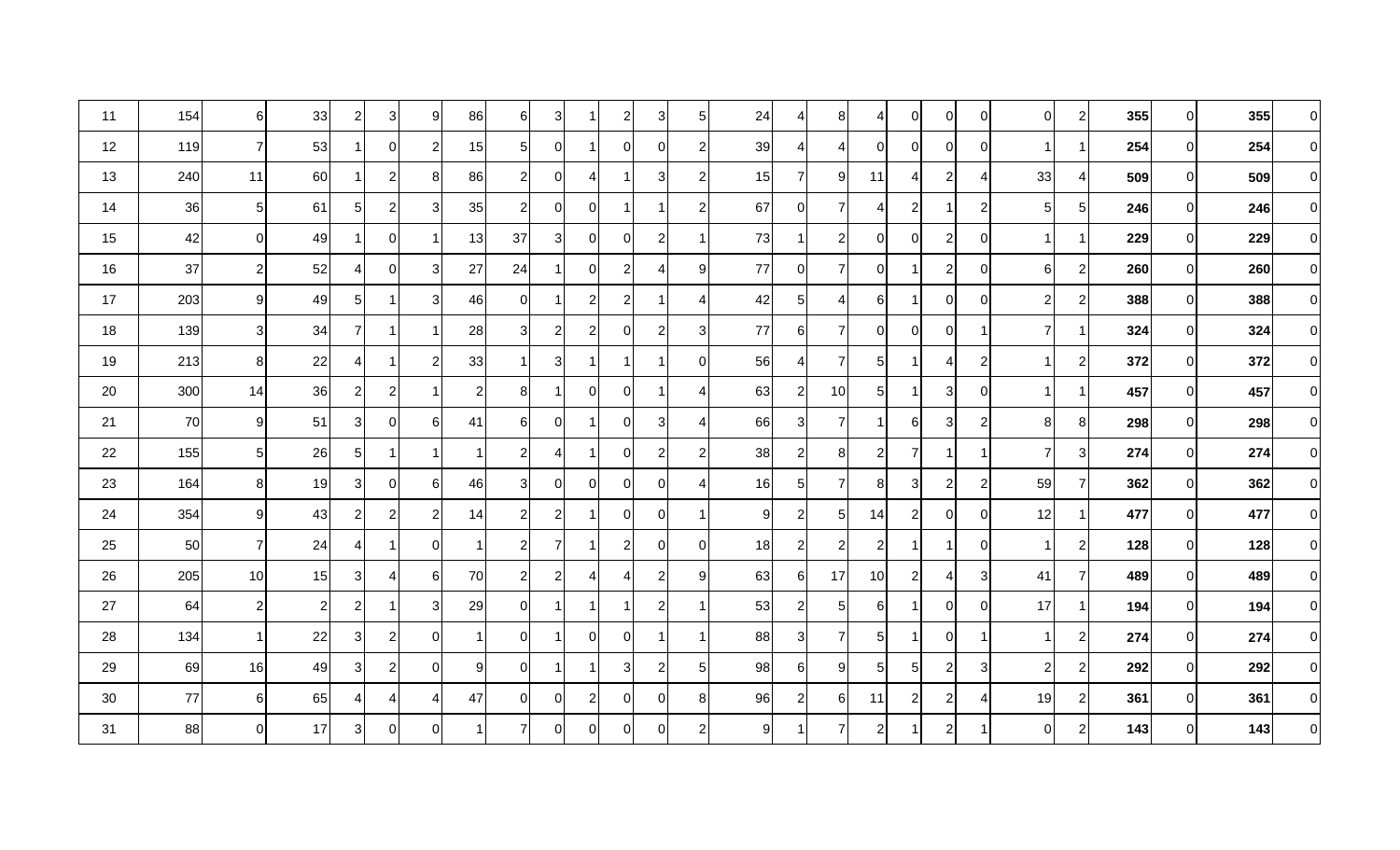| 11 | 154 | 6              | 33             | $\mathbf{2}$   | 3 <sup>1</sup> | $\boldsymbol{9}$ | 86 | $6 \mid$       | 3 <sub>l</sub> | -1             | $\overline{2}$        | 3              | 5                | 24              | 4              | 8 <sup>1</sup> | 4              | $\overline{0}$ | $\overline{0}$          | 0                | $\overline{0}$ | $\overline{2}$ | 355 | 01       | 355 | $\Omega$    |
|----|-----|----------------|----------------|----------------|----------------|------------------|----|----------------|----------------|----------------|-----------------------|----------------|------------------|-----------------|----------------|----------------|----------------|----------------|-------------------------|------------------|----------------|----------------|-----|----------|-----|-------------|
| 12 | 119 | 71             | 53             |                | $\overline{0}$ | $\overline{2}$   | 15 | 5 <sup>1</sup> | 01             |                | 0                     | $\mathbf 0$    | $\overline{2}$   | 39              | 4              | $\vert$        |                | $\overline{0}$ | $\overline{0}$          | 0                | $\mathbf 1$    |                | 254 | 01       | 254 | $\Omega$    |
| 13 | 240 | 11             | 60             |                | $\mathbf{2}$   | 8                | 86 | $\overline{2}$ | 0              | $\overline{4}$ | 1                     | 3              | $\overline{2}$   | 15 <sup>1</sup> | $\overline{7}$ | 9 <sub>l</sub> | 11             | $\overline{4}$ | $\overline{2}$          | 4                | 33             | $\overline{4}$ | 509 | 01       | 509 | $\Omega$    |
| 14 | 36  | 5 <sub>5</sub> | 61             | 51             | $\mathbf{2}$   | 3                | 35 | $\overline{2}$ | 01             | $\overline{0}$ |                       |                | $\overline{2}$   | 67              | $\overline{0}$ | $\overline{7}$ | 4              | 2              | $\mathbf 1$             | $\overline{2}$   | 5 <sub>1</sub> | 5              | 246 | ΩI       | 246 | $\Omega$    |
| 15 | 42  | 0              | 49             | 1              | $\overline{0}$ |                  | 13 | 37             | 3 <sup>l</sup> | $\overline{0}$ | $\mathbf 0$           | $\overline{2}$ | $\overline{1}$   | 73              | -1             | $\mathbf{2}$   | 0              | $\overline{0}$ | $\overline{2}$          | $\boldsymbol{0}$ | $\mathbf{1}$   | $\mathbf{1}$   | 229 | $\Omega$ | 229 | $\mathbf 0$ |
| 16 | 37  | $\overline{2}$ | 52             | 41             | $\overline{0}$ | 3                | 27 | 24             |                | $\overline{0}$ | $\overline{c}$        | 4              | 9                | 77              | $\overline{0}$ | $\overline{7}$ | ი              |                | $\overline{c}$          | $\boldsymbol{0}$ | 6              | $\overline{c}$ | 260 | 0        | 260 | $\Omega$    |
| 17 | 203 | 9              | 49             | $5\vert$       | 1              | 3                | 46 | $\overline{0}$ |                | $\overline{c}$ | $\overline{2}$        |                | 4                | 42              | 5 <sub>5</sub> | $\vert$        | 6              |                | $\overline{0}$          | 0                | $\overline{2}$ | $\overline{c}$ | 388 | $\Omega$ | 388 | $\Omega$    |
| 18 | 139 | $\mathbf{3}$   | 34             | 7              | 1              | -1               | 28 | 3 <sup>1</sup> | $\overline{c}$ | $\overline{2}$ | 0                     | $\overline{2}$ | 3                | 77              | 6              | $\overline{7}$ | ∩              | $\overline{0}$ | $\overline{0}$          | $\mathbf 1$      | 7              |                | 324 | 0        | 324 | $\Omega$    |
| 19 | 213 | 8 <sup>8</sup> | 22             | 41             | 1              | $\overline{2}$   | 33 | 1 I            | 3 <sub>l</sub> | -1             | -1                    |                | $\mathbf 0$      | 56              | 4              | $\overline{7}$ | 51             |                | 4                       | $\overline{2}$   |                | 2 <sub>l</sub> | 372 | ΩI       | 372 | $\Omega$    |
| 20 | 300 | 14             | 36             | $\overline{2}$ | $\overline{2}$ |                  | 2  | 8              |                | $\overline{0}$ | $\mathbf 0$           |                | 4                | 63              | $\overline{c}$ | 10             | 51             |                | 3 <sup>1</sup>          | $\mathbf 0$      | 1              | -1             | 457 | $\Omega$ | 457 | $\Omega$    |
| 21 | 70  | 9              | 51             | 3              | $\overline{0}$ | 6                | 41 | 61             | $\Omega$       |                | $\mathbf 0$           | 3              | $\overline{4}$   | 66              | 3              | $\overline{7}$ |                | 6              | 3                       | $\overline{c}$   | 8 <sup>1</sup> | 8              | 298 | 0        | 298 | $\Omega$    |
| 22 | 155 | 5 <sub>l</sub> | 26             | 5 <sup>1</sup> | 1              | -1               |    | $2\vert$       | $\overline{4}$ | -1             | $\mathbf 0$           | $\sqrt{2}$     | $\boldsymbol{2}$ | 38              | $\overline{c}$ | 8 <sup>1</sup> | 2              | $\overline{7}$ | 1                       | $\mathbf 1$      | $\overline{7}$ | 3 <sup>1</sup> | 274 | 0        | 274 | $\Omega$    |
| 23 | 164 | 8 <sup>1</sup> | 19             | $\overline{3}$ | $\overline{0}$ | 6                | 46 | 31             | $\Omega$       | $\overline{0}$ | $\boldsymbol{0}$      | $\mathbf 0$    | 4                | 16              | 5 <sub>l</sub> | $\overline{7}$ | 8              | 3              | $\overline{c}$          | $\overline{c}$   | 59             | 7              | 362 | 0        | 362 | $\mathbf 0$ |
| 24 | 354 | 9              | 43             | $\overline{2}$ | $\mathbf{2}$   | $\overline{2}$   | 14 | $2\vert$       | $\overline{c}$ |                | $\boldsymbol{0}$      | $\mathbf 0$    | $\overline{1}$   | 9               | $\overline{2}$ | 5 <sub>l</sub> | 14             | $\overline{2}$ | $\overline{0}$          | $\boldsymbol{0}$ | 12             |                | 477 | 0        | 477 | $\Omega$    |
| 25 | 50  | $\overline{7}$ | 24             | 41             | 1              | 0                |    | $2\vert$       | 7              |                | $\overline{c}$        | $\mathbf 0$    | 0                | 18              | $\overline{c}$ | $\mathbf{2}$   |                |                | -1                      | $\boldsymbol{0}$ |                | $\overline{2}$ | 128 | 01       | 128 | $\Omega$    |
| 26 | 205 | 10             | 15             | 3              | $\overline{4}$ | 6                | 70 | 2              | $\overline{c}$ | $\overline{4}$ | $\boldsymbol{\Delta}$ | $\overline{2}$ | 9                | 63              | 6              | 17             | 10             | $\overline{2}$ | 4                       | 3                | 41             | $\overline{7}$ | 489 | ΩI       | 489 | $\Omega$    |
| 27 | 64  | 2              | $\overline{2}$ | $\overline{2}$ | 1              | 3                | 29 | $\overline{0}$ |                | -1             |                       | $\overline{2}$ | $\mathbf 1$      | 53              | $\overline{2}$ | 5 <sub>l</sub> | 61             |                | $\overline{0}$          | 0                | 17             | 1              | 194 | 01       | 194 | $\Omega$    |
| 28 | 134 |                | 22             | 3              | $\mathbf{2}$   | $\mathbf 0$      |    | $\Omega$       |                | $\overline{0}$ | 0                     |                | -1               | 88              | $\mathbf{3}$   | $\overline{7}$ | 51             |                | $\overline{0}$          | -1               |                | $\overline{2}$ | 274 | 01       | 274 | $\Omega$    |
| 29 | 69  | 16             | 49             | $\overline{3}$ | $\mathbf{2}$   | $\mathbf 0$      | 9  | 0I             |                |                | 3                     | $\overline{c}$ | 5                | 98              | $6 \mid$       | 9              | 51             | 5 <sup>1</sup> | $\overline{\mathbf{c}}$ | $\sqrt{3}$       | $\overline{2}$ | $\overline{2}$ | 292 | ΩI       | 292 | $\Omega$    |
| 30 | 77  | $6 \mid$       | 65             | 41             | $\overline{4}$ | 4                | 47 | 0I             | $\overline{0}$ | $\overline{c}$ | $\mathbf 0$           | 0              | 8                | 96              | $\overline{c}$ | $6 \mid$       | 11             | $\mathbf{2}$   | $\overline{\mathbf{c}}$ | 4                | 19             | $\overline{a}$ | 361 | 01       | 361 | $\Omega$    |
| 31 | 88  | 0              | 17             | $\overline{3}$ | $\overline{0}$ | $\mathbf 0$      |    | 71             | $\overline{0}$ | $\overline{0}$ | $\overline{0}$        | $\mathbf 0$    | $\overline{2}$   | $\overline{9}$  |                | $\overline{7}$ | $\overline{2}$ |                | $\mathbf{2}$            | -1               | $\overline{0}$ | $\overline{2}$ | 143 | 01       | 143 | $\Omega$    |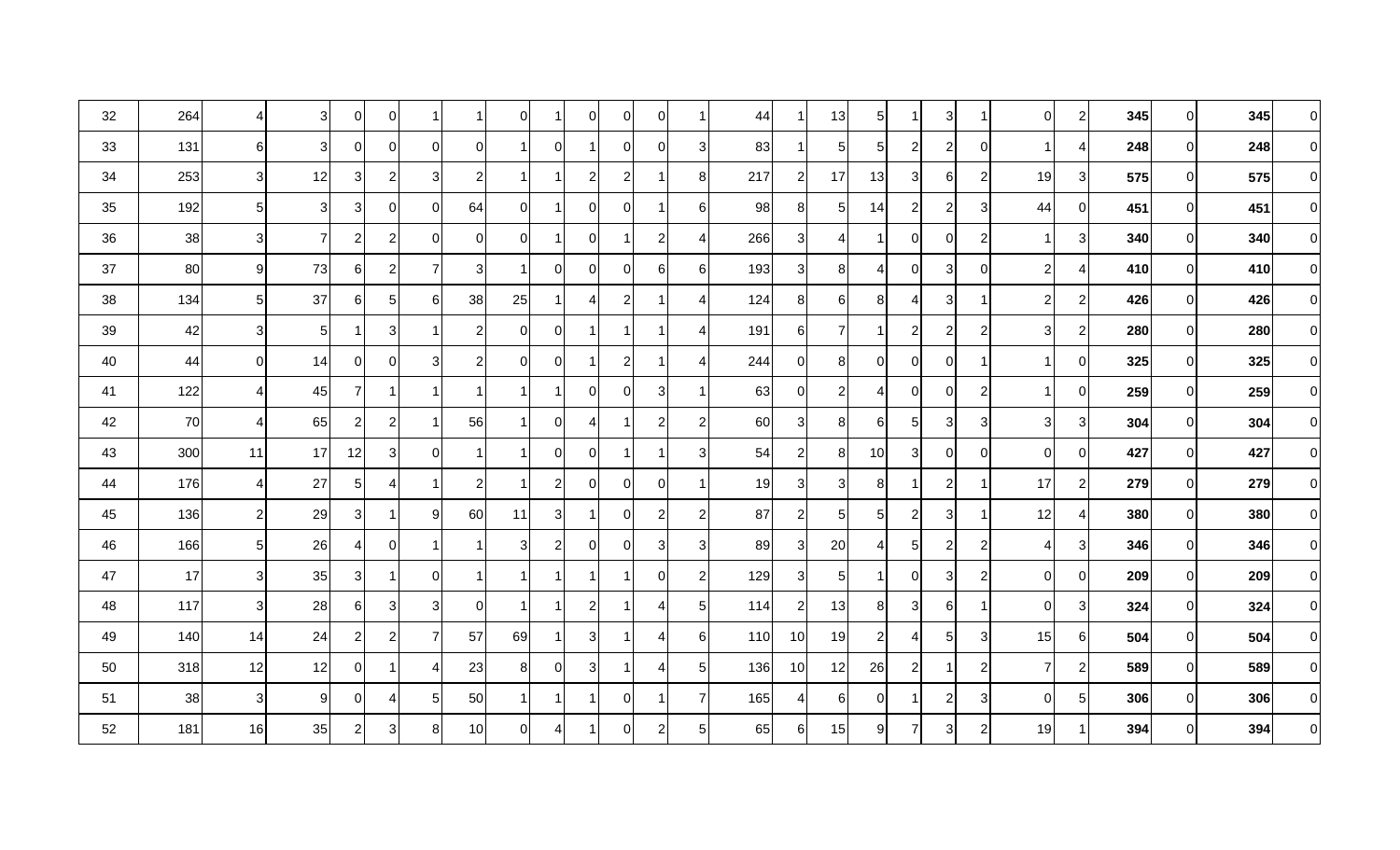| 32 | 264 | 4 <sup>1</sup> | 31 | 01           | $\overline{0}$ | -1             |                | $\Omega$       | 1            | $\overline{0}$ | 0                | $\Omega$       |                | 44  | -1             | 13             | 5        |                | $\overline{3}$ | -1             | $\overline{0}$ | $\overline{c}$ | 345 | 0        | 345 | $\Omega$       |
|----|-----|----------------|----|--------------|----------------|----------------|----------------|----------------|--------------|----------------|------------------|----------------|----------------|-----|----------------|----------------|----------|----------------|----------------|----------------|----------------|----------------|-----|----------|-----|----------------|
| 33 | 131 | $6 \mid$       | 31 | 01           | 0              | $\Omega$       | $\Omega$       |                | 0            | 1              | $\mathbf 0$      | $\Omega$       | 3              | 83  | -1             | 5 <sub>l</sub> | 5        | $\overline{2}$ | $\mathbf{2}$   | $\overline{0}$ |                | $\overline{4}$ | 248 | 01       | 248 | $\Omega$       |
| 34 | 253 | 3              | 12 | 3            | $\mathbf{2}$   | 3              | $\mathbf{2}$   |                |              | $\mathbf{2}$   | $\boldsymbol{2}$ |                | 8              | 217 | $\overline{c}$ | 17             | 13       | 31             | $6 \mid$       | $\overline{c}$ | 19             | 3 <sup>1</sup> | 575 | 01       | 575 | $\Omega$       |
| 35 | 192 | 5 <sub>l</sub> | 3  | 3            | 0              | $\Omega$       | 64             | $\Omega$       |              | 0              | $\Omega$         |                | 6              | 98  | 8 <sup>8</sup> | 5 <sub>l</sub> | 14       | 21             | $\overline{a}$ | $\mathbf{3}$   | 44             | $\Omega$       | 451 | ΩI       | 451 | $\Omega$       |
| 36 | 38  | 3 <sup>l</sup> | 7  | $\mathbf{2}$ | $\mathbf{2}$   | $\Omega$       | ΟI             | $\Omega$       | 1            | $\overline{0}$ |                  | $\overline{c}$ | ⊿              | 266 | 3              | 4              |          | 0l             | 0              | $\overline{c}$ | 1              | 3 <sup>l</sup> | 340 | $\Omega$ | 340 | $\Omega$       |
| 37 | 80  | $9 \mid$       | 73 | 61           | $\mathbf{2}$   | $\overline{7}$ | 3              |                | 0            | $\Omega$       | $\mathbf 0$      | 6              | 6              | 193 | 3 <sup>1</sup> | 8              | Δ        | $\Omega$       | 3 <sup>1</sup> | $\overline{0}$ | $\mathbf{2}$   | 4              | 410 | 01       | 410 | $\Omega$       |
| 38 | 134 | 5 <sub>l</sub> | 37 | 61           | $5 \vert$      | 6              | 38             | 25             |              | 4              | $\boldsymbol{2}$ |                | 4              | 124 | 8              | 6              | 8        | 4              | 3 <sup>1</sup> | -1             | $\overline{2}$ | $\overline{c}$ | 426 | 0        | 426 | $\mathbf 0$    |
| 39 | 42  | $\mathbf{3}$   | 5  |              | 3 <sup>1</sup> | -1             | 2              | $\Omega$       | 0            | 1              | -1               |                | 4              | 191 | $6 \mid$       | $\overline{7}$ |          | 2              | $\overline{2}$ | $\overline{c}$ | 3              | $\overline{c}$ | 280 | 0        | 280 | $\Omega$       |
| 40 | 44  | $\overline{0}$ | 14 | 01           | $\Omega$       | 3              | $\overline{2}$ | $\Omega$       | 0            | 1              | $\overline{2}$   |                | ⊿              | 244 | $\overline{0}$ | 8 <sup>1</sup> | $\Omega$ | 0I             | $\overline{0}$ | 1              |                | $\Omega$       | 325 | $\Omega$ | 325 | $\Omega$       |
| 41 | 122 | $\overline{4}$ | 45 | 7            | 1              | $\overline{1}$ | -1             |                | <u>1</u>     | $\overline{0}$ | $\mathbf 0$      | 3              | 1              | 63  | $\overline{0}$ | $\mathbf{2}$   | 4        | $\overline{0}$ | $\overline{0}$ | $\overline{c}$ |                | $\overline{0}$ | 259 | $\Omega$ | 259 | $\Omega$       |
| 42 | 70  | $\overline{4}$ | 65 | $\mathbf{2}$ | $\mathbf{2}$   | -1             | 56             |                | 0            | 4              |                  | $\overline{2}$ | $\overline{c}$ | 60  | $\mathbf{3}$   | 8              | 6        | 5              | $\overline{3}$ | $\sqrt{3}$     | $\overline{3}$ | 3 <sup>l</sup> | 304 | 01       | 304 | $\Omega$       |
| 43 | 300 | 11             | 17 | 12           | $\overline{3}$ | $\mathbf 0$    |                |                | 0            | $\overline{0}$ |                  |                | 3              | 54  | $\overline{2}$ | 8 <sup>1</sup> | 10       | 3              | $\overline{0}$ | $\mathbf 0$    | $\overline{0}$ | 0              | 427 | 01       | 427 | $\Omega$       |
| 44 | 176 | $\frac{4}{ }$  | 27 | $5 \mid$     | 4              |                | $\overline{2}$ |                | $\mathbf{2}$ | $\overline{0}$ | $\mathbf 0$      | 0              |                | 19  | 3 <sup>1</sup> | 3 <sup>1</sup> | 8        |                | $\overline{a}$ | 1              | 17             | $\overline{a}$ | 279 | 0        | 279 | $\overline{0}$ |
| 45 | 136 | $\mathbf{2}$   | 29 | 3            | 1              | 9              | 60             | 11             | 3            | -1             | $\mathbf 0$      | $\overline{c}$ | $\overline{2}$ | 87  | $\overline{c}$ | 5 <sub>l</sub> | 5        | $\overline{2}$ | 3 <sup>1</sup> | 1              | 12             | 4              | 380 | ΩI       | 380 | $\Omega$       |
| 46 | 166 | 5 <sub>5</sub> | 26 | 4            | $\Omega$       | -1             |                | 3              | $\mathbf{2}$ | 0              | $\Omega$         | 3              | 3              | 89  | 3              | 20             |          | 5              | $\overline{a}$ | $\overline{c}$ | 4              | 3 <sub>l</sub> | 346 | 0        | 346 | $\Omega$       |
| 47 | 17  | 3 <sub>l</sub> | 35 | 3            | 1              | $\Omega$       | -1             |                |              | 1              | -1               | $\Omega$       | $\overline{2}$ | 129 | 3 <sub>l</sub> | 5 <sub>l</sub> |          | $\Omega$       | 3              | $\overline{2}$ | $\Omega$       | $\Omega$       | 209 | 0        | 209 | $\Omega$       |
| 48 | 117 | 3              | 28 | 61           | 3              | 3              | 0              |                | 1            | $\mathbf{2}$   | -1               | 4              | 5              | 114 | $\overline{2}$ | 13             | 81       | 31             | 6              | 1              | $\overline{0}$ | 3 <sup>1</sup> | 324 | 01       | 324 | $\Omega$       |
| 49 | 140 | 14             | 24 | $\mathsf{2}$ | $\mathbf{2}$   | $\overline{7}$ | 57             | 69             | 1            | 3 <sup>1</sup> |                  | Δ              | 6              | 110 | 10             | 19             | 2        | 4              | 5 <sub>l</sub> | $\mathbf{3}$   | 15             | 6              | 504 | 0        | 504 | $\Omega$       |
| 50 | 318 | 12             | 12 | 01           | 1              | 4              | 23             | 81             | $\Omega$     | 3 <sup>1</sup> | 1                | 4              | 5              | 136 | 10             | 12             | 26       | $\overline{2}$ | 1              | $\overline{2}$ | $\overline{7}$ | 2              | 589 | $\Omega$ | 589 | $\Omega$       |
| 51 | 38  | $\mathbf{3}$   | 9  | 01           | 4              | 5              | 50             |                |              | 1              | $\mathbf 0$      |                | -7             | 165 | $\overline{4}$ | $6 \mid$       |          |                | $\mathbf{2}$   | $\mathbf{3}$   | $\overline{0}$ | 5 <sub>l</sub> | 306 | 01       | 306 | $\Omega$       |
| 52 | 181 | 16             | 35 | $\mathbf{2}$ | $\mathbf{3}$   | 8              | 10             | $\overline{0}$ | 41           | 1              | $\Omega$         | $\overline{c}$ | 5              | 65  | 6              | 15             | 9        | $\overline{7}$ | 3 <sup>1</sup> | $\overline{c}$ | 19             |                | 394 | 01       | 394 | $\Omega$       |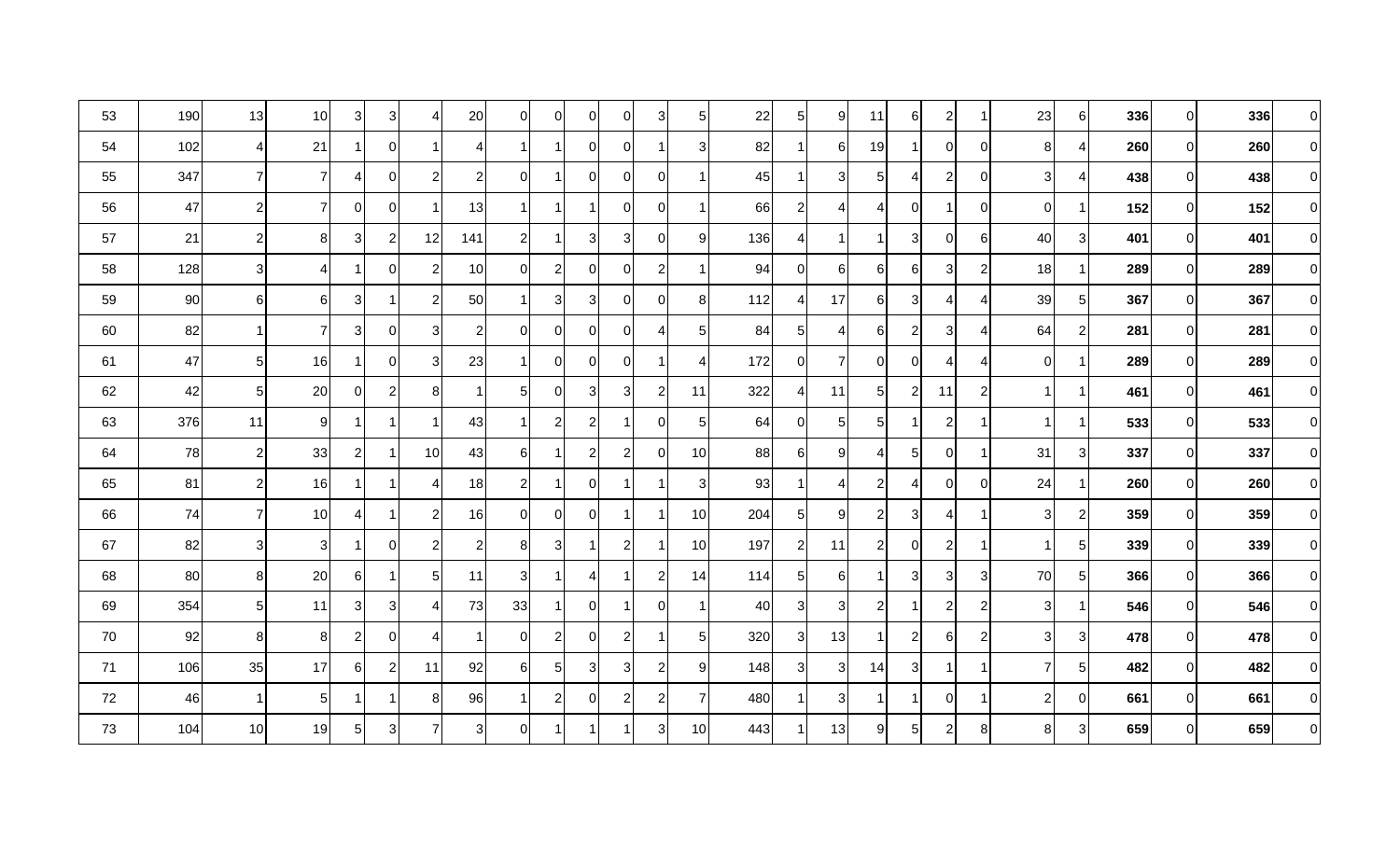| 53 | 190 | 13              | 10              | 3              | 3 <sup>1</sup> | 4              | 20             | $\overline{0}$ | 01             | $\overline{0}$ | 0                | 3              | 5              | 22  | $\sqrt{5}$     | 9              | 11             | $6 \mid$       | $\mathbf{2}$            | -1             | 23             | 6                       | 336 | 01       | 336 | $\Omega$       |
|----|-----|-----------------|-----------------|----------------|----------------|----------------|----------------|----------------|----------------|----------------|------------------|----------------|----------------|-----|----------------|----------------|----------------|----------------|-------------------------|----------------|----------------|-------------------------|-----|----------|-----|----------------|
| 54 | 102 | $\overline{4}$  | 21              |                | $\overline{0}$ | -1             | 4              | 1              |                | $\overline{0}$ | $\mathbf 0$      |                | 3              | 82  |                | 61             | 19             |                | $\overline{0}$          | 0              | 8 <sup>1</sup> | 4                       | 260 | 01       | 260 | $\Omega$       |
| 55 | 347 | $\overline{7}$  | 7               | 41             | $\overline{0}$ | $\overline{2}$ | $\overline{c}$ | 0I             |                | $\overline{0}$ | 0                | $\mathbf 0$    | $\mathbf 1$    | 45  |                | 3 <sup>1</sup> | 51             | 41             | $\overline{\mathbf{c}}$ | 0              | 3 <sup>1</sup> | 4                       | 438 | 01       | 438 | $\Omega$       |
| 56 | 47  | $\overline{2}$  | 7               | 0              | $\overline{0}$ |                | 13             | 1              |                |                | $\mathbf 0$      | 0              | $\overline{1}$ | 66  | $\overline{c}$ | $\vert$        | Δ              | $\Omega$       | 1                       | $\mathbf 0$    | $\Omega$       |                         | 152 | ΩI       | 152 | $\Omega$       |
| 57 | 21  | $\overline{2}$  | 8               | 3              | $\mathbf{2}$   | 12             | 141            | 21             |                | 3 <sub>l</sub> | 3                | 0              | 9              | 136 | $\overline{4}$ | 1              |                | 3              | $\overline{0}$          | 6              | 40             | 3 <sup>1</sup>          | 401 | $\Omega$ | 401 | $\Omega$       |
| 58 | 128 | 3 <sup>l</sup>  | 4               | 1              | $\overline{0}$ | $\overline{2}$ | 10             | ΟI             | $\overline{c}$ | $\overline{0}$ | 0                | $\overline{2}$ | -1             | 94  | $\overline{0}$ | 6              | 6              | 6              | 3 <sup>1</sup>          | $\overline{c}$ | 18             |                         | 289 | 01       | 289 | $\Omega$       |
| 59 | 90  | 6               | 6               | 3 <sup>1</sup> | 1              | $\overline{2}$ | 50             | <u>11</u>      | 3              | 3 <sub>l</sub> | $\mathbf 0$      | 0              | 8              | 112 | $\overline{4}$ | 17             | 6              | 31             | 4                       | 4              | 39             | 5 <sub>l</sub>          | 367 | 01       | 367 | $\mathbf 0$    |
| 60 | 82  |                 |                 | 3              | $\overline{0}$ | 3              | $\overline{2}$ | 0I             | 0              | $\overline{0}$ | $\boldsymbol{0}$ | 4              | 5              | 84  | 5 <sub>5</sub> | $\vert$        | 6              | $\overline{2}$ | $\mathbf{3}$            | 4              | 64             | $\overline{2}$          | 281 | 0        | 281 | $\Omega$       |
| 61 | 47  | $5\phantom{.0}$ | 16              | 1              | $\overline{0}$ | 3              | 23             | 1 I            | $\Omega$       | $\overline{0}$ | $\mathbf 0$      |                | 4              | 172 | $\mathbf 0$    | $\overline{7}$ | $\Omega$       | $\overline{0}$ | 4                       | 4              | $\overline{0}$ |                         | 289 | ΩI       | 289 | $\Omega$       |
| 62 | 42  | $5\phantom{.0}$ | 20              | 0              | $\mathbf{2}$   | 8              |                | 5 <sub>l</sub> | 01             | 3 <sup>l</sup> | $\sqrt{3}$       | $\sqrt{2}$     | 11             | 322 | 4              | 11             | 51             | $\overline{2}$ | 11                      | $\overline{c}$ | 1              | $\overline{\mathbf{1}}$ | 461 | $\Omega$ | 461 | $\Omega$       |
| 63 | 376 | 11              | $9 \mid$        | 1              | 1              |                | 43             | 1              | $\overline{c}$ | $\overline{2}$ |                  | $\mathbf 0$    | 5              | 64  | $\mathbf 0$    | 5 <sub>l</sub> | 51             |                | $\mathbf{2}$            | -1             | $\mathbf 1$    | -1                      | 533 | 01       | 533 | $\Omega$       |
| 64 | 78  | $\overline{2}$  | 33              | $\mathbf{2}$   | 1              | 10             | 43             | 6              |                | $\overline{2}$ | $\overline{c}$   | $\mathbf 0$    | 10             | 88  | 6              | 9              | 4              | 5              | $\overline{0}$          | $\mathbf 1$    | 31             | 3 <sup>1</sup>          | 337 | 01       | 337 | $\Omega$       |
| 65 | 81  | $\overline{c}$  | 16              |                | 1              | 4              | 18             | 21             |                | $\overline{0}$ |                  |                | 3              | 93  |                | $\vert$        | 2              | 4              | $\overline{0}$          | $\pmb{0}$      | 24             |                         | 260 | 01       | 260 | $\overline{0}$ |
| 66 | 74  | $\overline{7}$  | 10 <sup>1</sup> | 41             | -1             | $\overline{c}$ | 16             | $\Omega$       | $\Omega$       | $\overline{0}$ | 1                |                | 10             | 204 | 5 <sub>l</sub> | 9 <sub>l</sub> | $\overline{2}$ | $\overline{3}$ | 4                       | -1             | 3 <sup>l</sup> | $\overline{2}$          | 359 | 0        | 359 | $\Omega$       |
| 67 | 82  | 3 <sup>l</sup>  | 3 <sup>1</sup>  |                | $\overline{0}$ | $\overline{2}$ | $\overline{2}$ | 8 <sub>l</sub> | 3              |                | $\overline{2}$   |                | 10             | 197 | $\overline{2}$ | 11             | 2              | $\overline{0}$ | $\overline{c}$          | -1             |                | 5 <sup>1</sup>          | 339 | 01       | 339 | $\Omega$       |
| 68 | 80  | 8 <sup>1</sup>  | 20 <sub>l</sub> | 61             | 1              | 5              | 11             | 31             |                | $\overline{4}$ | -1               | $\overline{2}$ | 14             | 114 | $5 \mid$       | 61             |                | 3              | 3                       | 3              | 70             | 5 <sub>l</sub>          | 366 | 0        | 366 | $\Omega$       |
| 69 | 354 | $5\phantom{.0}$ | 11              | 3              | 3              | 4              | 73             | 33             |                | $\overline{0}$ | 1                | $\Omega$       | -1             | 40  | 3              | 3 <sup>1</sup> | $\overline{2}$ |                | 2                       | $\overline{2}$ | 3              | 1                       | 546 | 01       | 546 | $\Omega$       |
| 70 | 92  | 8               | 8               | $\overline{2}$ | $\Omega$       | 4              |                | $\Omega$       | $\overline{c}$ | $\overline{0}$ | $\overline{2}$   |                | 5              | 320 | 3              | 13             |                | 2              | $6 \mid$                | $\overline{c}$ | 3              | 3                       | 478 | 0        | 478 | $\Omega$       |
| 71 | 106 | 35              | 17              | 6              | $2 \vert$      | 11             | 92             | 6              | 5 <sub>l</sub> | 3 <sup>l</sup> | $\sqrt{3}$       | $\sqrt{2}$     | 9              | 148 | $\mathbf{3}$   | 3 <sup>1</sup> | 14             | $\overline{3}$ | $\mathbf 1$             | $\mathbf{1}$   | 71             | 5 <sub>5</sub>          | 482 | $\Omega$ | 482 | $\Omega$       |
| 72 | 46  | -1              | 5 <sub>l</sub>  |                | 1              | 8              | 96             | 1              | $\overline{c}$ | $\overline{0}$ | $\overline{2}$   | $\overline{c}$ | 7              | 480 |                | 3 <sup>1</sup> |                |                | $\overline{0}$          | $\mathbf 1$    | $\overline{2}$ | 0                       | 661 | 01       | 661 | $\Omega$       |
| 73 | 104 | 10              | 19              | $5\vert$       | 3 <sup>1</sup> | $\overline{7}$ | 3 <sup>1</sup> | 0I             |                |                |                  | 3              | 10             | 443 |                | 13             | 9              | 5 <sub>l</sub> | $\overline{\mathbf{c}}$ | 8              | 8              | 3 <sup>1</sup>          | 659 | 0        | 659 | $\Omega$       |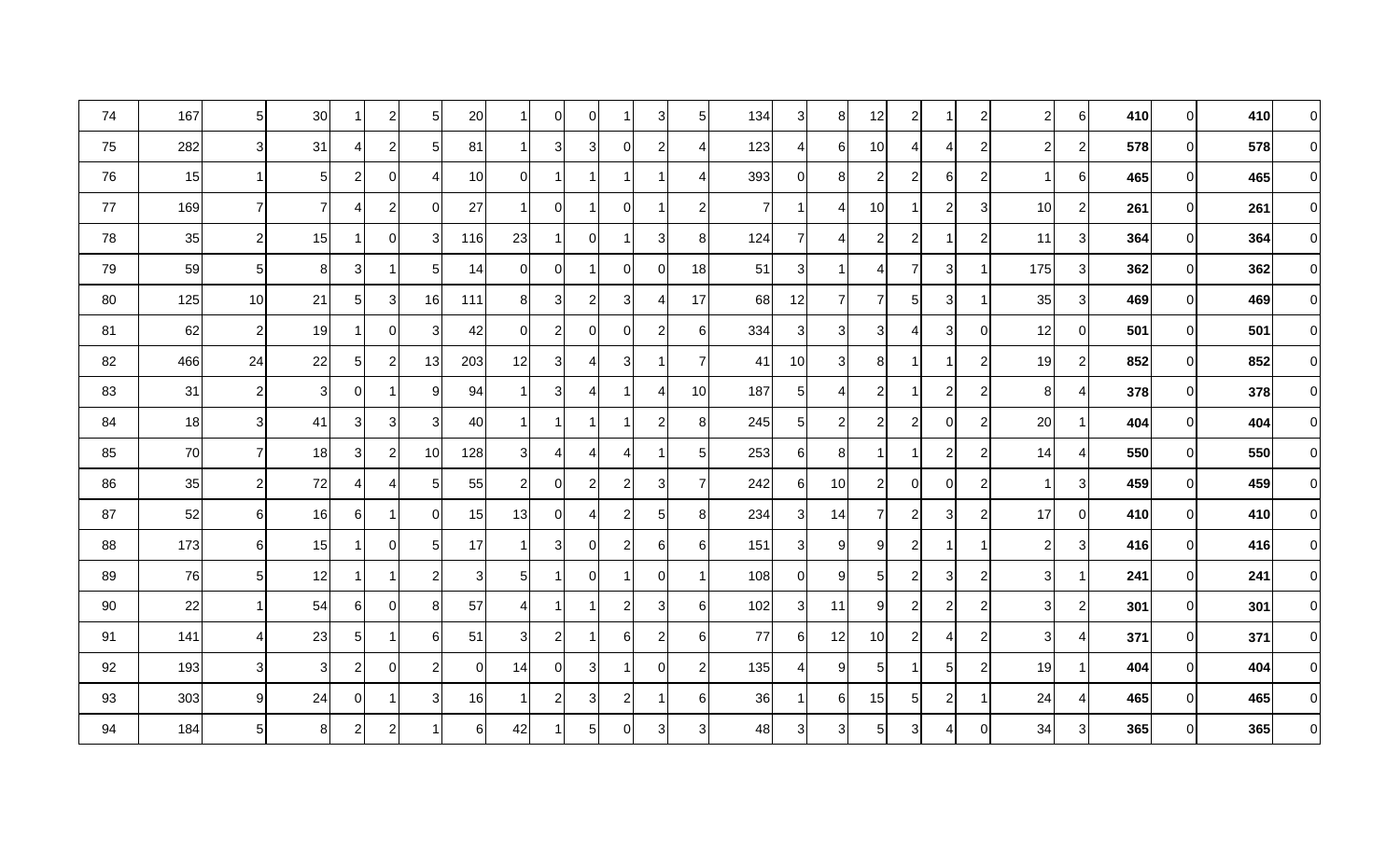| 74 | 167 | 5 <sub>5</sub>   | 30                      |                | $\mathbf{2}$   | $\sqrt{5}$     | 20             |                | $\overline{0}$ | $\overline{0}$ | $\mathbf 1$    | 3 <sup>1</sup> | 5              | 134            | $\mathbf{3}$   | 8 <sup>1</sup> | 12             | $\mathbf{2}$   | 1                       | $\overline{c}$   | $\overline{2}$ | $6 \mid$       | 410 | 01           | 410 | $\Omega$       |
|----|-----|------------------|-------------------------|----------------|----------------|----------------|----------------|----------------|----------------|----------------|----------------|----------------|----------------|----------------|----------------|----------------|----------------|----------------|-------------------------|------------------|----------------|----------------|-----|--------------|-----|----------------|
| 75 | 282 | 3                | 31                      | 4              | 2              | 5              | 81             |                | 3 <sup>1</sup> | 3              | $\overline{0}$ | $\mathbf{2}$   | 4              | 123            | 4              | $6 \mid$       | 10             | 4              | 4                       | $\overline{c}$   | $\overline{2}$ | $\overline{c}$ | 578 | 01           | 578 | $\Omega$       |
| 76 | 15  | $\mathbf{1}$     | $5 \mid$                | $\overline{c}$ | $\overline{0}$ | 4              | 10             | 0              | 1              |                | $\mathbf{1}$   |                | $\overline{4}$ | 393            | 0              | 8 <sup>1</sup> | 2              | $\mathbf{2}$   | $6 \mid$                | $\overline{c}$   | 1              | 6              | 465 | 01           | 465 | $\Omega$       |
| 77 | 169 | $\overline{7}$   | $\overline{7}$          | ⊿              | $\overline{c}$ | $\Omega$       | 27             |                | $\overline{0}$ |                | $\overline{0}$ |                | $\overline{c}$ | $\overline{7}$ | -1             | $\overline{4}$ | 10             |                | $\overline{\mathbf{c}}$ | 3                | 10             | $\overline{c}$ | 261 | ΩI           | 261 | $\Omega$       |
| 78 | 35  | $\sqrt{2}$       | 15                      |                | $\overline{0}$ | 3              | 116            | 23             | 1.             | $\overline{0}$ | $\mathbf 1$    | 3 <sup>1</sup> | 8              | 124            | $\overline{7}$ | $\overline{4}$ | $\overline{2}$ | $\overline{2}$ | 1                       | $\overline{2}$   | 11             | 3 <sup>l</sup> | 364 | 0            | 364 | $\Omega$       |
| 79 | 59  | 5 <sub>5</sub>   | 8 <sub>l</sub>          | 3 <sub>l</sub> |                | 5              | 14             | $\overline{0}$ | $\overline{0}$ |                | $\overline{0}$ | 0              | 18             | 51             | 3              | 1              |                | $\overline{7}$ | $\overline{3}$          | $\mathbf 1$      | 175            | 3 <sup>1</sup> | 362 | ΟI           | 362 | $\Omega$       |
| 80 | 125 | 10               | 21                      | 51             | $\mathbf{3}$   | 16             | 111            | 8              | 3              | 2              | 3              | 4              | 17             | 68             | 12             | $\overline{7}$ |                | 5 <sub>l</sub> | 3                       | -1               | 35             | 3              | 469 | <sup>O</sup> | 469 | $\Omega$       |
| 81 | 62  | $\overline{2}$   | 19                      |                | $\overline{0}$ | 3              | 42             | $\overline{0}$ | $\overline{2}$ | 0              | 0I             | 2              | 6              | 334            | 3              | 3 <sup>1</sup> | 31             | 41             | 3 <sup>1</sup>          | 0                | 12             | $\overline{0}$ | 501 | 01           | 501 | $\Omega$       |
| 82 | 466 | 24               | 22                      | 51             | 2              | 13             | 203            | 12             | 3              | $\overline{4}$ | 3              |                | $\overline{7}$ | 41             | 10             | 3 <sup>1</sup> | 8              |                | -1                      | $\overline{2}$   | 19             | $\overline{c}$ | 852 | 0            | 852 | $\Omega$       |
| 83 | 31  | $\overline{2}$   | $\overline{\mathbf{3}}$ | 0I             | $\overline{1}$ | 9              | 94             |                | $\overline{3}$ | $\overline{4}$ | $\mathbf 1$    | 4              | 10             | 187            | $\sqrt{5}$     | $\overline{4}$ | $\overline{c}$ |                | $\overline{2}$          | $\overline{2}$   | 8              | $\overline{4}$ | 378 | $\Omega$     | 378 | $\Omega$       |
| 84 | 18  | 3                | 41                      | 3              | 3              | 3              | 40             |                | -1             |                | -1             | $\overline{2}$ | 8              | 245            | $\overline{5}$ | $\mathbf{2}$   | 2              | $\overline{2}$ | $\overline{0}$          | $\overline{c}$   | 20             |                | 404 | ΟI           | 404 | $\Omega$       |
| 85 | 70  | $\overline{7}$   | 18                      | 3              | $\overline{c}$ | 10             | 128            | 3              | $\overline{4}$ | $\overline{4}$ | $\overline{4}$ |                | 5 <sub>5</sub> | 253            | 6              | 8 <sup>1</sup> |                |                | $\overline{\mathbf{c}}$ | $\overline{c}$   | 14             | 4              | 550 | 0            | 550 | $\Omega$       |
| 86 | 35  | $\boldsymbol{2}$ | 72                      |                | $\overline{4}$ | 5              | 55             | $\mathbf{2}$   | $\overline{0}$ | $\overline{c}$ | $\overline{c}$ | 3              | $\overline{7}$ | 242            | 6              | 10             | $\overline{c}$ | 0              | $\overline{0}$          | $\boldsymbol{2}$ |                | 3              | 459 | 01           | 459 | $\overline{0}$ |
| 87 | 52  | $6 \overline{6}$ | 16                      | 6              | -1             | 0              | 15             | 13             | $\overline{0}$ | $\overline{4}$ | $\mathbf{2}$   | 5 <sup>1</sup> | $8 \mid$       | 234            | $\mathbf{3}$   | 14             |                | $\overline{2}$ | 3                       | $\overline{c}$   | 17             | $\Omega$       | 410 | ΩI           | 410 | $\Omega$       |
| 88 | 173 | 6                | 15                      |                | $\overline{0}$ | 5              | 17             |                | 3 <sub>l</sub> | $\mathbf 0$    | $\overline{2}$ | 6              | 6              | 151            | $\mathbf{3}$   | 9              | q              | $\overline{2}$ | 1                       | $\mathbf 1$      | $\overline{2}$ | 3              | 416 | ΩI           | 416 | $\Omega$       |
| 89 | 76  | $5\overline{)}$  | 12                      |                | -1             | 2              | 31             | 5 <sub>l</sub> | 1              | $\Omega$       | $\overline{1}$ | $\Omega$       | 1              | 108            | 0              | 91             | 51             | $\mathbf{2}$   | 3                       | $\overline{2}$   | 31             | -1             | 241 | ΩI           | 241 | $\Omega$       |
| 90 | 22  | -1 I             | 54                      | 61             | $\overline{0}$ | 8              | 57             | 41             | <u>1</u>       |                | $\overline{2}$ | 3              | $6 \mid$       | 102            | 3              | 11             | 9              | $\overline{2}$ | $\mathbf{2}$            | $\overline{2}$   | 31             | $\mathbf{2}$   | 301 | 01           | 301 | $\Omega$       |
| 91 | 141 | 4                | 23                      | 5 <sub>l</sub> |                | 6              | 51             | 3              | $2 \vert$      |                | 6              | 2              | 6              | 77             | 6              | 12             | 10             | 2              | 4                       | $\overline{2}$   | 3 <sup>l</sup> | 4              | 371 | 01           | 371 | $\Omega$       |
| 92 | 193 | $\mathbf{3}$     | 3 <sup>l</sup>          | $\overline{c}$ | $\overline{0}$ | $\overline{2}$ | $\overline{0}$ | 14             | $\overline{0}$ | $\mathbf{3}$   | $\mathbf 1$    | $\Omega$       | $\overline{c}$ | 135            | 4              | 9              | 5              |                | 5 <sup>1</sup>          | $\overline{c}$   | 19             | -1             | 404 | ΩI           | 404 | $\Omega$       |
| 93 | 303 | $\overline{9}$   | 24                      | $\Omega$       |                | 3              | 16             |                | $\overline{2}$ | 3              | $\overline{2}$ |                | 6              | 36             |                | $6 \mid$       | 15             | 5 <sub>l</sub> | $\mathbf{2}$            | $\mathbf 1$      | 24             | 4              | 465 | 01           | 465 | $\Omega$       |
| 94 | 184 | 5 <sub>5</sub>   | 8 <sup>1</sup>          | $\mathbf{2}$   | $\overline{c}$ | $\overline{1}$ | $6 \mid$       | 42             |                | 5 <sub>5</sub> | $\overline{0}$ | $\overline{3}$ | 3 <sup>l</sup> | 48             | 3              | 3 <sup>1</sup> | 5 <sub>l</sub> | $\overline{3}$ | 4                       | 0                | 34             | 3 <sup>1</sup> | 365 | 0            | 365 | $\Omega$       |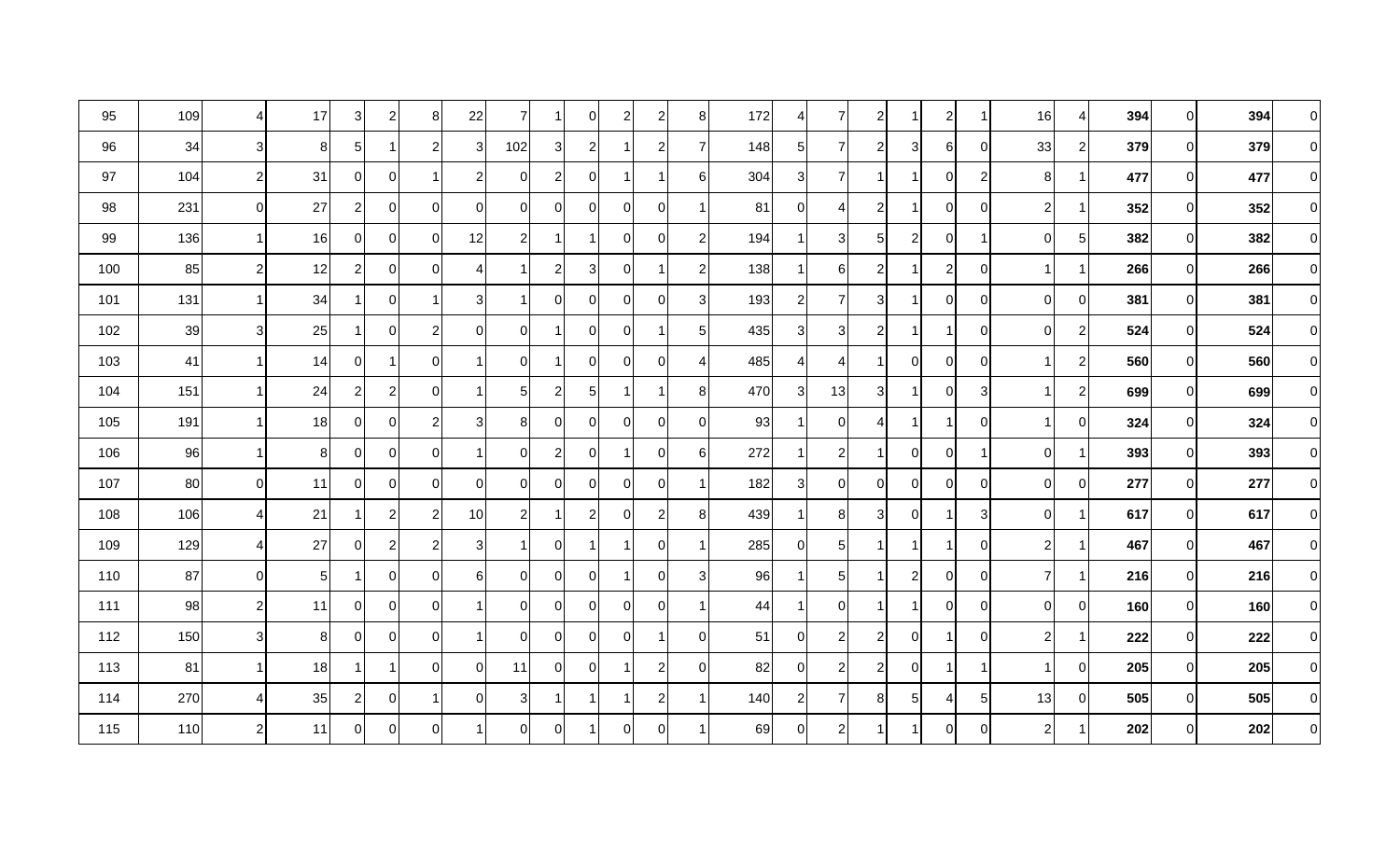| 95  | 109 | $\overline{4}$ | 17             | 3            | $\mathbf{2}$   | 8              | 22             | 7              | 1              | $\overline{0}$  | $\overline{c}$ | $\overline{c}$ | 8              | 172 | $\vert$        | $\overline{7}$ | $\overline{2}$ |          | $\mathbf{2}$   | 1              | 16             | 4              | 394 | 0        | 394 | $\Omega$       |
|-----|-----|----------------|----------------|--------------|----------------|----------------|----------------|----------------|----------------|-----------------|----------------|----------------|----------------|-----|----------------|----------------|----------------|----------|----------------|----------------|----------------|----------------|-----|----------|-----|----------------|
| 96  | 34  | 3              | 8              | $5 \mid$     | 1              | $\overline{2}$ | $\overline{3}$ | 102            | 3              | $\mathbf{2}$    |                | $\overline{c}$ | -7             | 148 | 5 <sub>l</sub> | $\overline{7}$ | 2              | 31       | 6              | $\mathbf 0$    | 33             | $\overline{2}$ | 379 | 01       | 379 | $\Omega$       |
| 97  | 104 | $\mathbf{2}$   | 31             | 01           | 0              | -1             | $\overline{c}$ | $\Omega$       | $\overline{2}$ | $\overline{0}$  |                |                | 6              | 304 | 3              | $\overline{7}$ |                |          | $\overline{0}$ | $\overline{c}$ | 8 <sup>1</sup> |                | 477 | 01       | 477 | $\Omega$       |
| 98  | 231 | $\overline{0}$ | 27             | $\mathbf{2}$ | 0              | $\Omega$       | $\Omega$       | $\Omega$       | 0              | 0               | $\Omega$       | $\Omega$       |                | 81  | $\overline{0}$ | 4              | $\mathcal{P}$  |          | 0              | $\mathbf 0$    | $\overline{2}$ |                | 352 | ΩI       | 352 | $\Omega$       |
| 99  | 136 | 1              | 16             | 01           | $\overline{0}$ | $\Omega$       | 12             | 21             | 1              | 1               | $\mathbf 0$    | $\overline{0}$ | $\overline{2}$ | 194 | -1             | $\mathbf{3}$   | 5 <sub>l</sub> | 21       | $\overline{0}$ | 1              | 0l             | 5 <sub>1</sub> | 382 | $\Omega$ | 382 | $\Omega$       |
| 100 | 85  | $\mathbf{2}$   | 12             | $\mathbf{2}$ | $\overline{0}$ | $\Omega$       |                |                | $\mathbf{2}$   | $\overline{3}$  | $\Omega$       |                | $\overline{2}$ | 138 | -1             | 6              | $\overline{2}$ |          | $\overline{a}$ | $\mathbf 0$    |                |                | 266 | 01       | 266 | $\Omega$       |
| 101 | 131 | 1              | 34             |              | 0              | -1             | 3              |                | 0              | $\overline{0}$  | $\Omega$       | $\Omega$       | 3              | 193 | $\overline{c}$ | $\overline{7}$ | 3              |          | 0              | $\overline{0}$ | $\overline{0}$ | $\overline{0}$ | 381 | 01       | 381 | $\mathbf 0$    |
| 102 | 39  | 3 <sup>1</sup> | 25             |              | $\Omega$       | $\overline{2}$ | $\Omega$       | $\Omega$       |                | $\Omega$        | $\Omega$       |                | 5              | 435 | 3              | 3              | 2              |          | 1              | $\mathbf 0$    | $\Omega$       | $\overline{c}$ | 524 | 0        | 524 | $\Omega$       |
| 103 | 41  | 1              | 14             | 01           | $\mathbf 1$    | $\Omega$       |                | $\Omega$       | 1              | $\overline{0}$  | $\mathbf 0$    | $\Omega$       | 4              | 485 | $\overline{4}$ | $\overline{4}$ |                | 0I       | $\Omega$       | $\mathbf 0$    |                | $\overline{2}$ | 560 | 0        | 560 | $\Omega$       |
| 104 | 151 | 1              | 24             | $\mathbf{2}$ | $\mathbf{2}$   | $\mathbf 0$    |                | 5 <sup>1</sup> | $\mathbf{2}$   | $5\overline{)}$ |                |                | 8              | 470 | $\mathbf{3}$   | 13             | 31             |          | $\overline{0}$ | $\sqrt{3}$     |                | $\overline{2}$ | 699 | $\Omega$ | 699 | $\Omega$       |
| 105 | 191 | 1              | 18             | 01           | 0              | $\overline{2}$ | 3 <sub>l</sub> | 8              | 0              | $\overline{0}$  | $\mathbf 0$    | 0              | 0              | 93  | -1             | $\overline{0}$ | Δ              |          | 1              | $\mathbf 0$    |                | $\overline{0}$ | 324 | 0        | 324 | $\Omega$       |
| 106 | 96  | 1              | 8 <sup>1</sup> | 01           | $\overline{0}$ | $\mathbf 0$    |                | 0              | $\mathbf{2}$   | $\overline{0}$  |                | $\mathbf 0$    | 6              | 272 | $\mathbf 1$    | $\mathbf{2}$   |                | 01       | $\overline{0}$ | 1              | $\overline{0}$ |                | 393 | 01       | 393 | $\Omega$       |
| 107 | 80  | $\overline{0}$ | 11             | 01           | $\overline{0}$ | $\mathbf 0$    | $\mathbf 0$    | $\Omega$       | 0              | $\overline{0}$  | $\mathbf 0$    | 0              |                | 182 | 3 <sup>1</sup> | $\overline{0}$ | 0              | 0l       | $\overline{0}$ | $\mathbf 0$    | $\overline{0}$ | 0              | 277 | 0        | 277 | $\overline{0}$ |
| 108 | 106 | $\overline{4}$ | 21             |              | $\mathbf{2}$   | $\overline{2}$ | 10             | 21             | 1              | $\mathbf{2}$    | $\mathbf 0$    | $\overline{c}$ | 8              | 439 | -1             | 8 <sup>1</sup> | 3              | $\Omega$ | 1              | 3              | $\Omega$       | -1             | 617 | ΩI       | 617 | $\Omega$       |
| 109 | 129 | 4              | 27             | 01           | $\mathbf{2}$   | $\overline{c}$ | 3              |                | 0              | 1               |                | $\Omega$       |                | 285 | $\overline{0}$ | 5 <sub>l</sub> |                |          |                | $\mathbf 0$    | $\mathbf{2}$   |                | 467 | 01       | 467 | $\Omega$       |
| 110 | 87  | $\overline{0}$ | 5 <sub>l</sub> |              | 0              | $\Omega$       | 6              | $\Omega$       | 0              | $\overline{0}$  | -1             | $\Omega$       | 3              | 96  | -1             | 5 <sub>l</sub> |                | 2        | $\Omega$       | $\overline{0}$ | $\overline{7}$ |                | 216 | 0        | 216 | $\Omega$       |
| 111 | 98  | $\mathbf{2}$   | 11             | 01           | $\overline{0}$ | 0              |                | ΩI             | 0              | $\overline{0}$  | 0              | 0              |                | 44  | $\mathbf 1$    | $\overline{0}$ |                |          | 0              | $\mathbf 0$    | $\overline{0}$ | $\overline{0}$ | 160 | 01       | 160 | $\Omega$       |
| 112 | 150 | $\mathbf{3}$   | 8              | Οl           | $\Omega$       | $\Omega$       |                | $\Omega$       | 0              | 0               | $\Omega$       |                | $\mathbf 0$    | 51  | $\overline{0}$ | $\mathbf{2}$   | 2              | $\Omega$ | 1              | $\mathbf 0$    | $\mathbf{2}$   |                | 222 | 0        | 222 | $\Omega$       |
| 113 | 81  | 1              | 18             |              | 1              | $\mathbf 0$    | 0l             | 11             | Οl             | $\overline{0}$  |                | $\overline{c}$ | $\Omega$       | 82  | $\overline{0}$ | $\mathbf{2}$   | 2              | 0l       | 1              | 1              |                | $\overline{0}$ | 205 | $\Omega$ | 205 | $\Omega$       |
| 114 | 270 | 4              | 35             | $\mathbf{2}$ | $\overline{0}$ | -1             | $\Omega$       | 3              |                | 1               |                | $\overline{c}$ |                | 140 | $\mathbf{2}$   | $\overline{7}$ | 8              | 5        | $\overline{4}$ | $\sqrt{5}$     | 13             | $\overline{0}$ | 505 | 01       | 505 | $\Omega$       |
| 115 | 110 | $\mathbf{2}$   | 11             | 01           | $\overline{0}$ | $\mathbf 0$    |                | ΟI             | 0              | 1               | 0              | $\Omega$       |                | 69  | $\overline{0}$ | $\mathsf{2}$   |                |          | $\overline{0}$ | $\mathbf 0$    | 2              |                | 202 | 01       | 202 | $\Omega$       |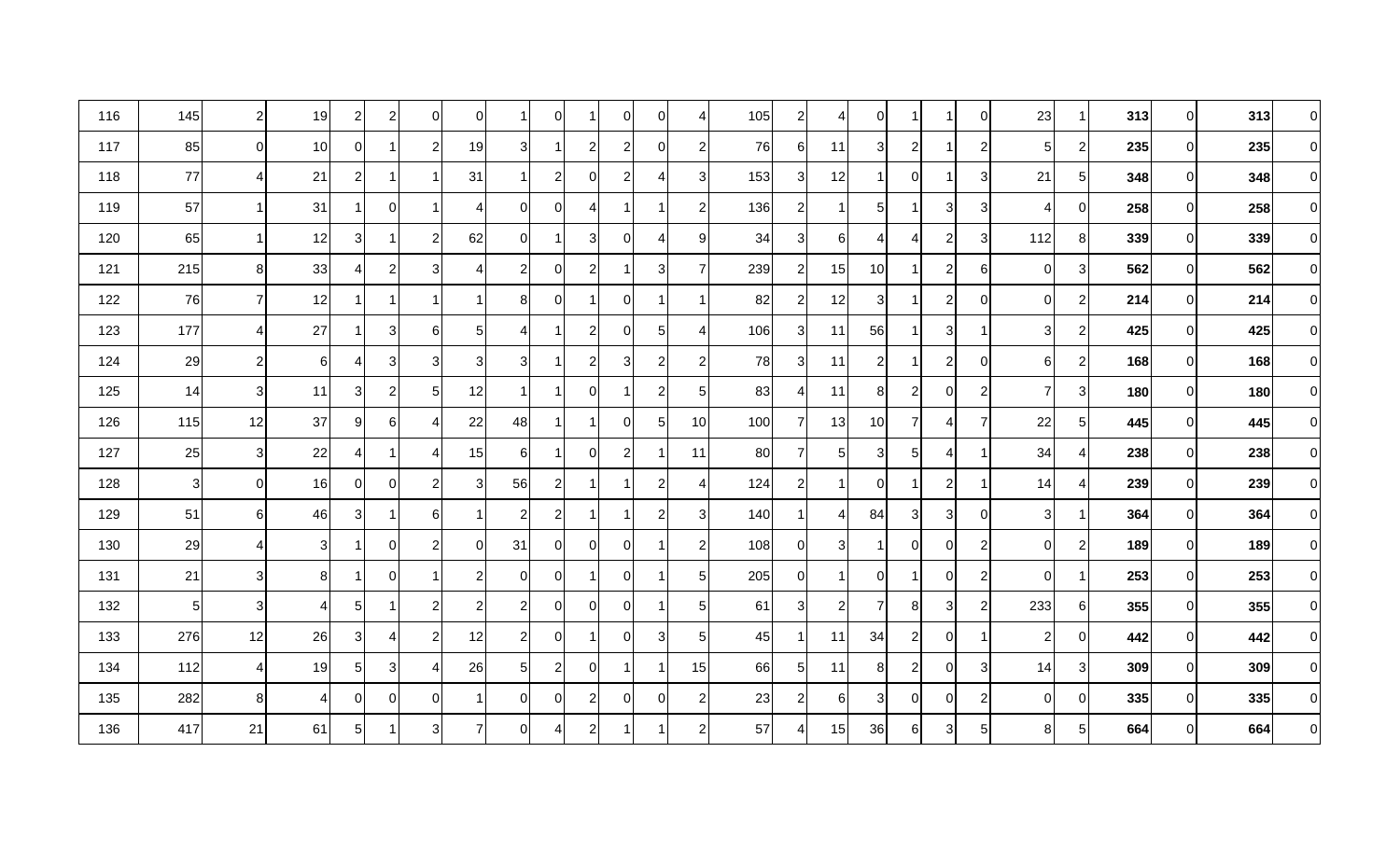| 116 | 145            | $\overline{2}$ | 19             | $\mathbf{2}$   | $\mathbf{2}$   | 0              | 01             |              | 0            | 1              | 0                | $\Omega$       | 4              | 105 | $2\vert$       | 4              | $\Omega$       |                |                | $\overline{0}$ | 23             | 1              | 313 | 01             | 313 | 0              |
|-----|----------------|----------------|----------------|----------------|----------------|----------------|----------------|--------------|--------------|----------------|------------------|----------------|----------------|-----|----------------|----------------|----------------|----------------|----------------|----------------|----------------|----------------|-----|----------------|-----|----------------|
| 117 | 85             | $\overline{0}$ | 10             | 0              | 1              | $\overline{2}$ | 19             | 3            |              | $\mathbf{2}$   | $\overline{2}$   | 0              | $\overline{c}$ | 76  | $6 \mid$       | 11             | 3              | $\overline{2}$ |                | $\overline{c}$ | 5              | $\mathbf{2}$   | 235 | 01             | 235 | $\Omega$       |
| 118 | 77             | $\overline{4}$ | 21             | $\mathbf{2}$   | 1              |                | 31             |              | $\mathbf{2}$ | $\overline{0}$ | $\overline{2}$   | 4              | 3              | 153 | $\mathbf{3}$   | 12             |                | $\Omega$       |                | $\sqrt{3}$     | 21             | $5\vert$       | 348 | 01             | 348 | $\Omega$       |
| 119 | 57             |                | 31             |                | $\overline{0}$ |                | 4              | $\Omega$     | 0            | 4              |                  |                | $\overline{2}$ | 136 | $\overline{c}$ | -1             | 5 <sub>l</sub> |                | 3              | 3 <sup>1</sup> |                | $\Omega$       | 258 | $\overline{0}$ | 258 | 0              |
| 120 | 65             | $\mathbf 1$    | 12             | 3              | 1              | $\overline{2}$ | 62             | Οl           | 1            | 3              | 0                | Δ              | 9              | 34  | 3 <sup>1</sup> | $6 \mid$       | 4              | 4              | $\overline{a}$ | 3 <sup>1</sup> | 112            | 8              | 339 | ٥I             | 339 | $\Omega$       |
| 121 | 215            | 8 <sup>1</sup> | 33             | 4              | $\overline{c}$ | 3              | 4              | 21           | 0            | $\mathbf{2}$   |                  | 3              | 7              | 239 | $\overline{c}$ | 15             | 10             |                | $\mathbf{2}$   | $6 \mid$       | $\overline{0}$ | $\mathbf{3}$   | 562 | $\overline{0}$ | 562 | $\overline{0}$ |
| 122 | 76             | $\overline{7}$ | 12             |                | 1              | -1             |                | 8            | $\Omega$     | 1              | $\Omega$         |                | -1             | 82  | $\overline{2}$ | 12             | 3              |                | $\overline{a}$ | $\overline{0}$ | $\Omega$       | $\mathbf{2}$   | 214 | 01             | 214 | $\Omega$       |
| 123 | 177            | $\overline{4}$ | 27             |                | 3              | 6              | 5              | 4            |              | $\overline{2}$ | 0                | 5              | 4              | 106 | 3              | 11             | 56             |                | 3              | 1              | 3              | $\mathbf{2}$   | 425 | 01             | 425 | $\Omega$       |
| 124 | 29             | $\overline{2}$ | 6              | 41             | 3 <sup>1</sup> | 3              | 3              | 3            |              | $\mathbf{2}$   | 3                | $\overline{2}$ | $\overline{2}$ | 78  | 3              | 11             | $\overline{2}$ |                | $\overline{2}$ | $\overline{0}$ | 6              | $\mathbf{2}$   | 168 | ΩI             | 168 | $\Omega$       |
| 125 | 14             | $\overline{3}$ | 11             | $\overline{3}$ | $\mathbf{2}$   | 5              | 12             | 1            |              | $\overline{0}$ |                  | $\overline{c}$ | 5              | 83  | $\overline{4}$ | 11             | 8              | $\overline{2}$ | 0              | $\overline{c}$ | 7              | 3 <sup>1</sup> | 180 | $\overline{0}$ | 180 | $\Omega$       |
| 126 | 115            | 12             | 37             | 9              | 6              | 4              | 22             | 48           |              | 1              | 0                | $\sqrt{5}$     | 10             | 100 | 7              | 131            | 10             | 7              | 4              | 7              | 22             | $5\vert$       | 445 | ΟI             | 445 | $\Omega$       |
| 127 | 25             | 3 <sub>l</sub> | 22             | 41             | 1              | 4              | 15             | 61           |              | $\overline{0}$ | $\boldsymbol{2}$ |                | 11             | 80  | $\overline{7}$ | 5 <sub>l</sub> | 31             | 5              | 4              | 1              | 34             | 4              | 238 | 01             | 238 | $\Omega$       |
| 128 | 3              | $\overline{0}$ | 16             | 01             | $\overline{0}$ | $\overline{2}$ | 3              | 56           | $\mathbf{2}$ | 1              |                  | $\overline{2}$ | 4              | 124 | $\overline{c}$ | 1              | 0              |                | $\overline{2}$ | 1              | 14             | 4              | 239 | 01             | 239 | 0              |
| 129 | 51             | 6              | 46             | $\overline{3}$ | 1              | 6              |                | 2            | $\mathbf{2}$ | 1              |                  | $\overline{2}$ | 3              | 140 | -1             | 4              | 84             | 3              | 3 <sup>1</sup> | $\overline{0}$ | 3              |                | 364 | ΟI             | 364 | $\Omega$       |
| 130 | 29             | $\overline{4}$ | 3 <sup>1</sup> |                | $\overline{0}$ | $\overline{2}$ | $\overline{0}$ | 31           | 0            | $\overline{0}$ | $\mathbf 0$      |                | $\overline{2}$ | 108 | $\overline{0}$ | 3 <sup>1</sup> |                | $\overline{0}$ | $\overline{0}$ | $\overline{c}$ | $\overline{0}$ | $\mathbf{2}$   | 189 | $\overline{0}$ | 189 | $\Omega$       |
| 131 | 21             | 3              | 8              | 1              | $\Omega$       | -1             | $\overline{2}$ | $\Omega$     | 0            | 1              | $\mathbf 0$      |                | 5              | 205 | $\overline{0}$ | -1             | $\Omega$       |                | $\Omega$       | $\overline{2}$ | $\Omega$       | 1              | 253 | $\overline{0}$ | 253 | $\Omega$       |
| 132 | 5 <sub>l</sub> | 3              | 4              | $5\vert$       | 1              | $\overline{2}$ | $\overline{c}$ | 21           | 01           | $\overline{0}$ | $\mathbf 0$      |                | 5              | 61  | 3              | $\mathbf{2}$   |                | 8 <sup>1</sup> | 3 <sup>1</sup> | $\overline{c}$ | 233            | $6 \mid$       | 355 | 01             | 355 | $\Omega$       |
| 133 | 276            | 12             | 26             | $\overline{3}$ | 4              | $\overline{2}$ | 12             | 21           | 01           | 1              | $\mathbf 0$      | 3              | 5              | 45  | -1             | 11             | 34             | 2              | $\overline{0}$ | 1              | $\overline{2}$ | $\overline{0}$ | 442 | 01             | 442 | $\Omega$       |
| 134 | 112            | $\overline{4}$ | 19             | $5\vert$       | $\overline{3}$ | 4              | 26             | 51           | $\mathbf{2}$ | $\overline{0}$ | 1                |                | 15             | 66  | $\sqrt{5}$     | 11             | 8              | $\overline{2}$ | $\overline{0}$ | 3              | 14             | $\overline{3}$ | 309 | ٥I             | 309 | $\Omega$       |
| 135 | 282            | 8 <sup>°</sup> | 4              | 0              | $\overline{0}$ | 0              |                | <sup>0</sup> | 0            | $\mathbf{2}$   | 0                | 0              | $\overline{c}$ | 23  | $\overline{c}$ | 6              | 3              | $\overline{0}$ | $\overline{0}$ | $\overline{c}$ | $\overline{0}$ | $\overline{0}$ | 335 | $\overline{0}$ | 335 | $\Omega$       |
| 136 | 417            | 21             | 61             | $5\vert$       | 1              | 3              | 7              | Οl           | 4            | $\mathbf{2}$   |                  |                | $\overline{2}$ | 57  | $\overline{4}$ | 15             | 36             | 6              | 3 <sup>1</sup> | 5 <sub>5</sub> | 8 <sup>1</sup> | 5 <sub>l</sub> | 664 | 01             | 664 | $\Omega$       |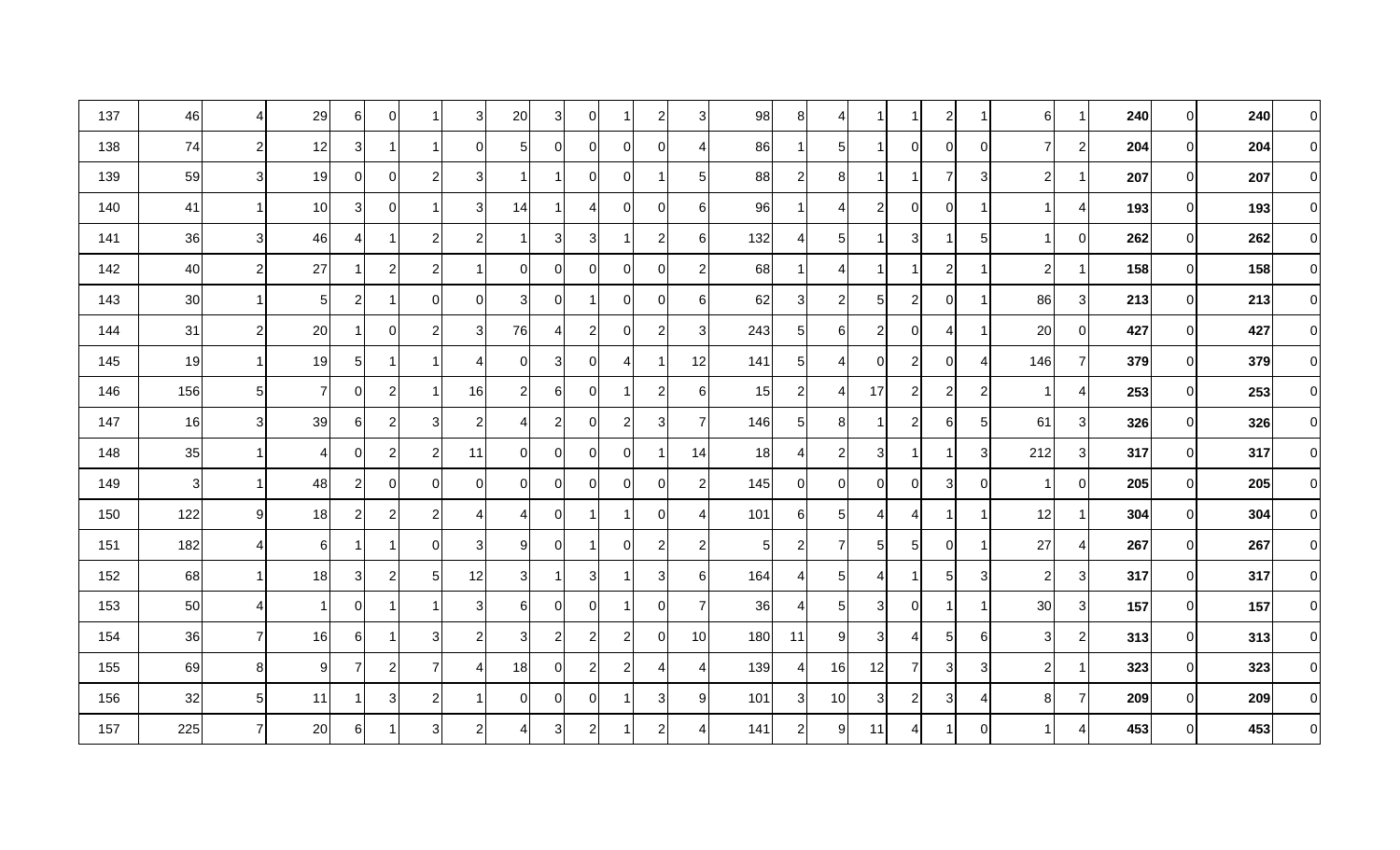| 137 | 46  | $\overline{4}$ | 29             | 6              | $\overline{0}$ | -1             | 3 <sup>l</sup> | 20             | 3              | $\overline{0}$ | 1              | $\overline{2}$ | 3                | 98  | 8 <sup>1</sup> | 4              |                |                | $\mathbf{2}$   | 1              | $6 \mid$       | 1.             | 240 | 01             | 240 | 0              |
|-----|-----|----------------|----------------|----------------|----------------|----------------|----------------|----------------|----------------|----------------|----------------|----------------|------------------|-----|----------------|----------------|----------------|----------------|----------------|----------------|----------------|----------------|-----|----------------|-----|----------------|
| 138 | 74  | $\mathbf{2}$   | 12             | 3              | 1              |                | 0l             | 5 <sup>1</sup> | 01             | $\overline{0}$ | 0              | $\Omega$       | 4                | 86  | -1             | 5 <sub>l</sub> |                | $\overline{0}$ | $\overline{0}$ | $\overline{0}$ |                | $\mathbf{2}$   | 204 | 01             | 204 | $\Omega$       |
| 139 | 59  | $\mathbf{3}$   | 19             | 0              | $\overline{0}$ | $\overline{2}$ | 3              |                |                | $\overline{0}$ | $\Omega$       |                | 5                | 88  | $2\vert$       | 8 <sup>1</sup> |                |                | $\overline{7}$ | $\sqrt{3}$     | $\mathbf{2}$   | 1              | 207 | 01             | 207 | $\Omega$       |
| 140 | 41  |                | 10             | $\overline{3}$ | $\overline{0}$ |                | 3              | 14             |                | $\overline{4}$ | $\mathbf 0$    | 0              | 6                | 96  | 1              | 4              | 2              | $\overline{0}$ | 0              | 1              |                | 4              | 193 | $\overline{0}$ | 193 | $\Omega$       |
| 141 | 36  | 3 <sup>l</sup> | 46             | 41             | 1              | $\overline{2}$ | $\overline{2}$ |                | 3              | 3 <sup>1</sup> |                | $\overline{c}$ | $\,6$            | 132 | $\overline{4}$ | 5 <sub>l</sub> |                | 3              |                | $\sqrt{5}$     |                | $\overline{0}$ | 262 | ٥I             | 262 | $\Omega$       |
| 142 | 40  | 2              | 27             |                | $\overline{c}$ | $\overline{c}$ |                | 0              | 0              | $\overline{0}$ | 0              | 0              | $\overline{c}$   | 68  | -1             | 4              |                |                | $\mathbf{2}$   | 1              | $\overline{c}$ | 1              | 158 | $\overline{0}$ | 158 | $\overline{0}$ |
| 143 | 30  | $\overline{1}$ | 5 <sub>l</sub> | $\mathbf{2}$   | 1              | $\Omega$       | ΩI             | 3              | $\Omega$       | 1              | $\Omega$       | $\Omega$       | 6                | 62  | 3              | $2\vert$       | 5              | $\mathbf{2}$   | $\Omega$       | $\mathbf 1$    | 86             | $\mathbf{3}$   | 213 | 01             | 213 | $\Omega$       |
| 144 | 31  | $\overline{c}$ | 20             |                | 0              | $\overline{2}$ | 3              | 76             | 4              | $\mathbf{2}$   | $\mathbf 0$    | $\overline{2}$ | 3                | 243 | 5 <sub>5</sub> | 6              | $\overline{2}$ | 0I             | 4              | 1              | 20             | $\overline{0}$ | 427 | 01             | 427 | $\Omega$       |
| 145 | 19  |                | 19             | 51             | 1              |                | 4              | $\Omega$       | 3I             | 0              | 4              |                | 12               | 141 | $5 \mid$       | 4              | ∩              | $\mathbf{2}$   | 0              | $\overline{4}$ | 146            | $\overline{7}$ | 379 | ΩI             | 379 | $\Omega$       |
| 146 | 156 | 5 <sub>l</sub> | 7              | $\overline{0}$ | $\mathbf{2}$   | -1             | 16             | $\overline{2}$ | 61             | $\overline{0}$ |                | $\overline{2}$ | 6                | 15  | $\mathbf{2}$   | 4              | 17             | $\overline{2}$ | $\overline{a}$ | $\overline{c}$ |                | $\vert$        | 253 | $\overline{0}$ | 253 | $\Omega$       |
| 147 | 16  | 3 <sub>l</sub> | 39             | 61             | $\mathbf{2}$   | 3              | $\overline{2}$ | 4              | $\overline{2}$ | 0              | 2              | 3              | -7               | 146 | $5 \mid$       | 8              |                | $\overline{2}$ | 6              | 5              | 61             | $\overline{3}$ | 326 | 01             | 326 | $\Omega$       |
| 148 | 35  | 1              | 4              | 0              | $\mathbf{2}$   | $\overline{c}$ | 11             | $\Omega$       | 01             | $\overline{0}$ | $\mathbf 0$    |                | 14               | 18  | $\vert$        | $\overline{c}$ | 3              |                |                | 3              | 212            | $\overline{3}$ | 317 | 01             | 317 | $\Omega$       |
| 149 | 3   |                | 48             | $\mathbf{2}$   | $\overline{0}$ | 0              | $\overline{0}$ | ΩI             | 01             | $\overline{0}$ | $\mathbf 0$    | 0              | $\overline{2}$   | 145 | 0              | $\overline{0}$ | 0              | 0              | 3              | $\overline{0}$ |                | 0              | 205 | 01             | 205 | $\overline{0}$ |
| 150 | 122 | 9              | 18             | $\mathbf{2}$   | $\mathbf{2}$   | $\overline{2}$ | 4              | 4              | Οl             | 1              | -1             | $\Omega$       | ⊿                | 101 | $6 \mid$       | 5 <sub>l</sub> | Δ              | 4              |                | -1             | 12             | 1              | 304 | ΟI             | 304 | $\Omega$       |
| 151 | 182 | $\overline{4}$ | $6 \mid$       |                | 1              | $\mathbf 0$    | 3              | 9              | 0              | 1              | $\mathbf 0$    | $\overline{2}$ | $\overline{2}$   | 5   | $\overline{c}$ | $\overline{7}$ | 5 <sup>1</sup> | $5\vert$       | $\overline{0}$ | $\mathbf{1}$   | 27             | 4              | 267 | $\Omega$       | 267 | $\Omega$       |
| 152 | 68  | $\mathbf{1}$   | 18             | 3 <sup>1</sup> | $\mathbf{2}$   | 5              | 12             | 3              |                | 3 <sup>1</sup> |                | 3              | $6 \overline{6}$ | 164 | $\overline{4}$ | 5 <sub>l</sub> | Δ              |                | 5              | 3              | $\overline{2}$ | 3              | 317 | $\overline{0}$ | 317 | $\Omega$       |
| 153 | 50  | $\overline{4}$ |                | $\overline{0}$ | 1              | -1             | $3 \mid$       | 6              | <sup>0</sup>   | $\overline{0}$ | 1              | $\Omega$       | $\overline{7}$   | 36  | $\overline{4}$ | 5 <sub>5</sub> | $\overline{3}$ | $\overline{0}$ |                | $\mathbf{1}$   | 30             | $\overline{3}$ | 157 | 01             | 157 | $\Omega$       |
| 154 | 36  | 7              | 16             | 6              | 1              | 3              | $\overline{2}$ | 3              | $\mathbf{2}$   | $\mathbf{2}$   | $\overline{2}$ | $\Omega$       | 10               | 180 | 11             | 9              | 3              | 4              | 5 <sub>l</sub> | 6              | 3              | $\mathbf{2}$   | 313 | 01             | 313 | $\Omega$       |
| 155 | 69  | 8 <sup>1</sup> | 9              | $\overline{7}$ | $\mathbf{2}$   | $\overline{7}$ | ⊿              | 18             | 01             | $\mathbf{2}$   | $\overline{2}$ | 4              | 4                | 139 | $\vert$        | 16             | 12             | $\overline{7}$ | $\overline{3}$ | $\sqrt{3}$     | $\overline{2}$ | 1              | 323 | $\overline{0}$ | 323 | $\Omega$       |
| 156 | 32  | 5 <sub>l</sub> | 11             |                | $\overline{3}$ | $\overline{2}$ |                | <sup>0</sup>   | 0              | $\overline{0}$ |                | 3              | 9                | 101 | 3 <sup>1</sup> | 10             | 3              | $\overline{2}$ | 3              | 4              | 8              | $\overline{7}$ | 209 | $\overline{0}$ | 209 | $\Omega$       |
| 157 | 225 | $\overline{7}$ | 20             | 6              | 1              | 3              | $\overline{2}$ | 41             | 3              | $\mathbf{2}$   |                | 2              | 4                | 141 | $\overline{c}$ | 9              | 11             | 4              |                | $\overline{0}$ |                | 4              | 453 | 01             | 453 | $\Omega$       |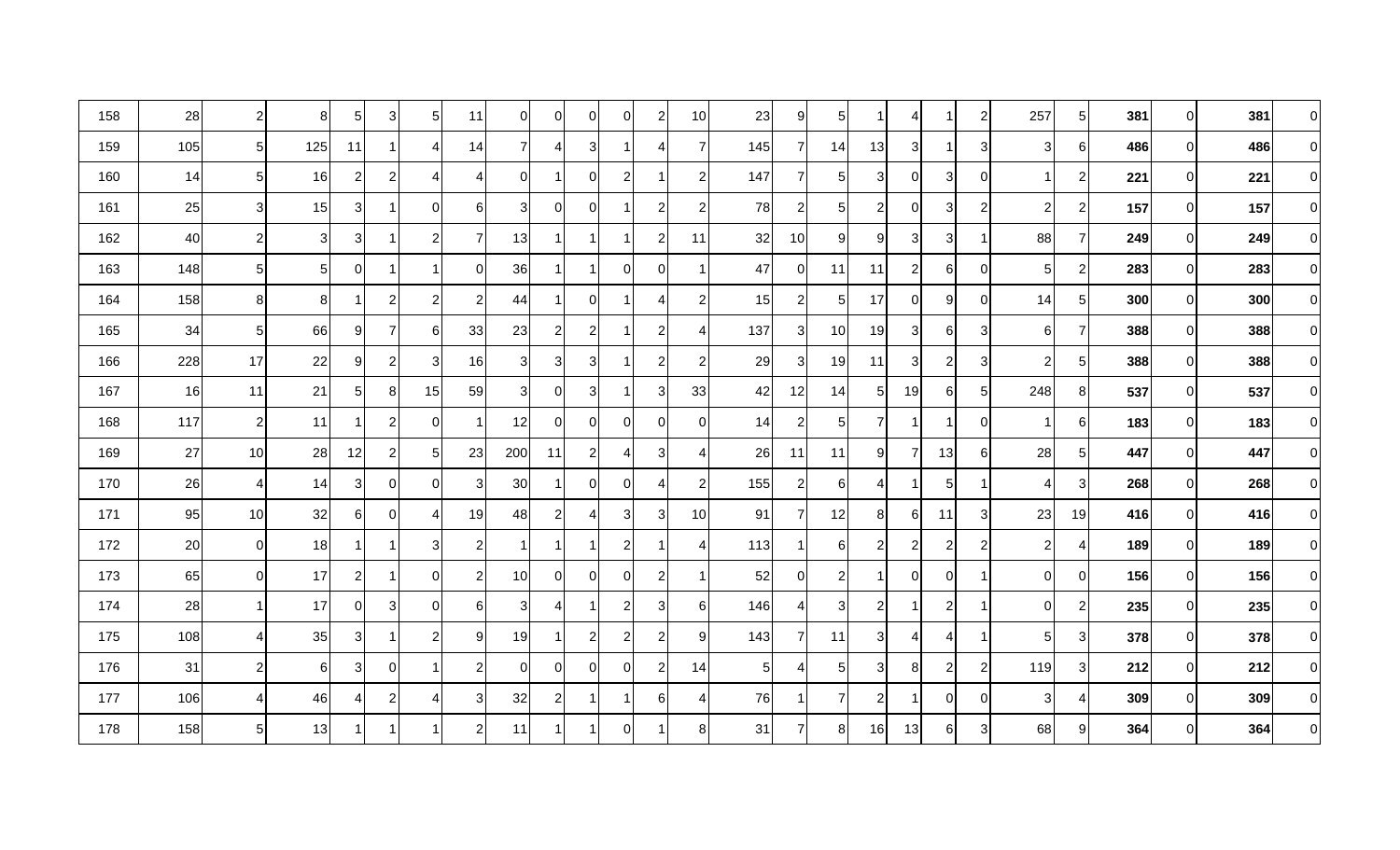| 158 | 28  | $\overline{c}$ | 8              | $5\vert$       | $\overline{3}$ | 5              | 11             | 01              | 0              | 0              | 0                | $\overline{c}$ | 10               | 23             | 9              | 5 <sub>l</sub>  |                | 4              |                | $\overline{c}$   | 257            | $5\vert$       | 381 | 01             | 381 | 0        |
|-----|-----|----------------|----------------|----------------|----------------|----------------|----------------|-----------------|----------------|----------------|------------------|----------------|------------------|----------------|----------------|-----------------|----------------|----------------|----------------|------------------|----------------|----------------|-----|----------------|-----|----------|
| 159 | 105 | 5 <sub>l</sub> | 125            | 11             | 1              | 4              | 14             | 7               | 41             | 3 <sup>1</sup> |                  | 4              | 7                | 145            | 7              | 14              | 13             | 3              |                | 3                | 3              | 6              | 486 | 01             | 486 | $\Omega$ |
| 160 | 14  | 5 <sub>5</sub> | 16             | $\mathbf{2}$   | $\mathbf{2}$   | Δ              | 4              | ΩI              |                | 0              | $\overline{2}$   |                | $\overline{2}$   | 147            | $\overline{7}$ | 5 <sub>l</sub>  | 3              | 01             | 3              | $\mathbf 0$      |                | $\mathbf{2}$   | 221 | 01             | 221 | $\Omega$ |
| 161 | 25  | 3 <sub>l</sub> | 15             | 3 <sup>1</sup> | 1              | $\Omega$       | 6              | 3               | 0              | 0              |                  | $\overline{2}$ | $\overline{2}$   | 78             | $\overline{2}$ | $5 \mid$        | 2              | $\Omega$       | 3              | $\overline{c}$   | $\overline{2}$ | $\mathbf{2}$   | 157 | 01             | 157 | 0        |
| 162 | 40  | $\overline{2}$ | 3              | 3              | 1              | $\overline{2}$ | $\overline{7}$ | 13              | 1              | 1              |                  | $\overline{c}$ | 11               | 32             | 10             | 9               | 9              | 31             | 3 <sup>1</sup> | -1               | 88             | $\overline{7}$ | 249 | $\Omega$       | 249 | $\Omega$ |
| 163 | 148 | 5 <sub>5</sub> | 5 <sub>l</sub> | 0              | 1              |                | ΟI             | 36              |                | 1              | $\Omega$         | 0              |                  | 47             | $\overline{0}$ | 11              | 11             | 21             | 6              | $\overline{0}$   | 5              | $\mathbf{2}$   | 283 | $\overline{0}$ | 283 | $\Omega$ |
| 164 | 158 | 8 <sup>1</sup> | 8              |                | 2              | $\overline{c}$ | $\overline{2}$ | 44              |                | $\overline{0}$ | -1               | ⊿              | $\overline{2}$   | 15             | $\mathbf{2}$   | 5 <sub>l</sub>  | 17             | $\Omega$       | 9              | $\overline{0}$   | 14             | $5\vert$       | 300 | 01             | 300 | $\Omega$ |
| 165 | 34  | 5 <sub>l</sub> | 66             | 9              | $\overline{7}$ | 6              | 33             | 23              | $\overline{2}$ | $\mathbf{2}$   |                  | 2              | 4                | 137            | $\mathbf{3}$   | 10 <sup>1</sup> | 19             | 3              | 6              | $\sqrt{3}$       | 6              | $\overline{7}$ | 388 | 01             | 388 | 0        |
| 166 | 228 | 17             | 22             | 9              | $\mathbf{2}$   | 3              | 16             | зı              | 3              | 3              |                  | $\overline{2}$ | $\overline{2}$   | 29             | 3              | 19              | 11             | 3              | $\overline{2}$ | 3                | $\overline{2}$ | 5 <sub>l</sub> | 388 | ΩI             | 388 | $\Omega$ |
| 167 | 16  | 11             | 21             | $5\vert$       | 8              | 15             | 59             | $\overline{3}$  | 01             | 3 <sup>1</sup> |                  | 3              | 33               | 42             | 12             | 14              | 5 <sub>l</sub> | 19             | $6 \mid$       | 5 <sub>5</sub>   | 248            | 8 <sup>1</sup> | 537 | ٥I             | 537 | $\Omega$ |
| 168 | 117 | $\mathbf{2}$   | 11             | 1              | $\mathbf{2}$   | $\mathbf 0$    |                | 12              | 01             | $\overline{0}$ | $\mathbf 0$      | $\Omega$       | $\boldsymbol{0}$ | 14             | $\overline{c}$ | 5 <sub>l</sub>  |                |                |                | $\overline{0}$   |                | 6              | 183 | $\overline{0}$ | 183 | $\Omega$ |
| 169 | 27  | 10             | 28             | 12             | $\mathbf{2}$   | 5              | 23             | 200             | 11             | $\mathbf{2}$   | 4                | 3              | 4                | 26             | 11             | 11              | 9              | 7              | 13             | $6 \overline{6}$ | 28             | $5\vert$       | 447 | 01             | 447 | $\Omega$ |
| 170 | 26  | 4              | 14             | $\overline{3}$ | $\overline{0}$ | 0              | 3              | 30              |                | $\overline{0}$ | 0                |                | $\overline{c}$   | 155            | $\overline{c}$ | $6 \mid$        | Δ              |                | 5              | 1                |                | $\overline{3}$ | 268 | 01             | 268 | $\Omega$ |
| 171 | 95  | 10             | 32             | 61             | 0              | Δ              | 19             | 48              | $\mathbf{2}$   | $\overline{4}$ | 3                | 3              | 10               | 91             | $\overline{7}$ | 12              | 8 <sup>1</sup> | 6              | 11             | 3 <sup>1</sup>   | 23             | 19             | 416 | ΩI             | 416 | $\Omega$ |
| 172 | 20  | $\overline{0}$ | 18             |                | 1              | 3              | $\overline{c}$ |                 |                |                | $\overline{2}$   |                | 4                | 113            | -1             | 6               | 2              | 2              | $\overline{a}$ | $\overline{2}$   | $\overline{c}$ | 41             | 189 | $\overline{0}$ | 189 | $\Omega$ |
| 173 | 65  | $\overline{0}$ | 17             | $\overline{2}$ | 1              | 0              | $\overline{2}$ | 10 <sup>1</sup> | 01             | $\overline{0}$ | $\Omega$         | $\overline{2}$ | -1               | 52             | $\overline{0}$ | $\overline{2}$  |                | $\Omega$       | 0              | $\mathbf 1$      | $\Omega$       | 0              | 156 | 01             | 156 | $\Omega$ |
| 174 | 28  | 1              | 17             | 01             | 3              | 0              | 61             | зı              | 4              | 1              | $\overline{c}$   | 3              | 6                | 146            | $\vert$        | 3               | $\overline{2}$ |                | $\overline{2}$ | -1               | $\overline{0}$ | $\mathbf{2}$   | 235 | 01             | 235 | $\Omega$ |
| 175 | 108 | $\overline{4}$ | 35             | $\overline{3}$ | 1              | $\overline{2}$ | 9              | 19              |                | $\mathbf{2}$   | $\boldsymbol{2}$ | $\overline{2}$ | 9                | 143            | $\overline{7}$ | 11              | 3              | 4              | 4              | 1                | 5              | $\overline{3}$ | 378 | 0              | 378 | $\Omega$ |
| 176 | 31  | $\overline{2}$ | 6              | $\overline{3}$ | 0              | -1             | 2              | 0I              | 01             | $\overline{0}$ | $\mathbf 0$      | 2              | 14               | 5 <sub>1</sub> | $\overline{a}$ | 5 <sub>l</sub>  | 3              | 8 <sup>1</sup> | $\overline{2}$ | $\overline{2}$   | 119            | $\overline{3}$ | 212 | $\overline{0}$ | 212 | $\Omega$ |
| 177 | 106 | $\overline{4}$ | 46             | 4              | $\mathbf{2}$   | 4              | 3              | 32              | $\mathbf{2}$   | 1              |                  | 6              | 4                | 76             | -1             | $\overline{7}$  | 2              |                | $\overline{0}$ | $\mathbf 0$      | 3              | 4              | 309 | $\overline{0}$ | 309 | $\Omega$ |
| 178 | 158 | 5 <sup>1</sup> | 13             |                |                |                | 2              | 11              |                |                | 0                |                | 8                | 31             | $\overline{7}$ | 8               | 16             | 13             | $6 \mid$       | 3 <sup>1</sup>   | 68             | 9              | 364 | 01             | 364 | $\Omega$ |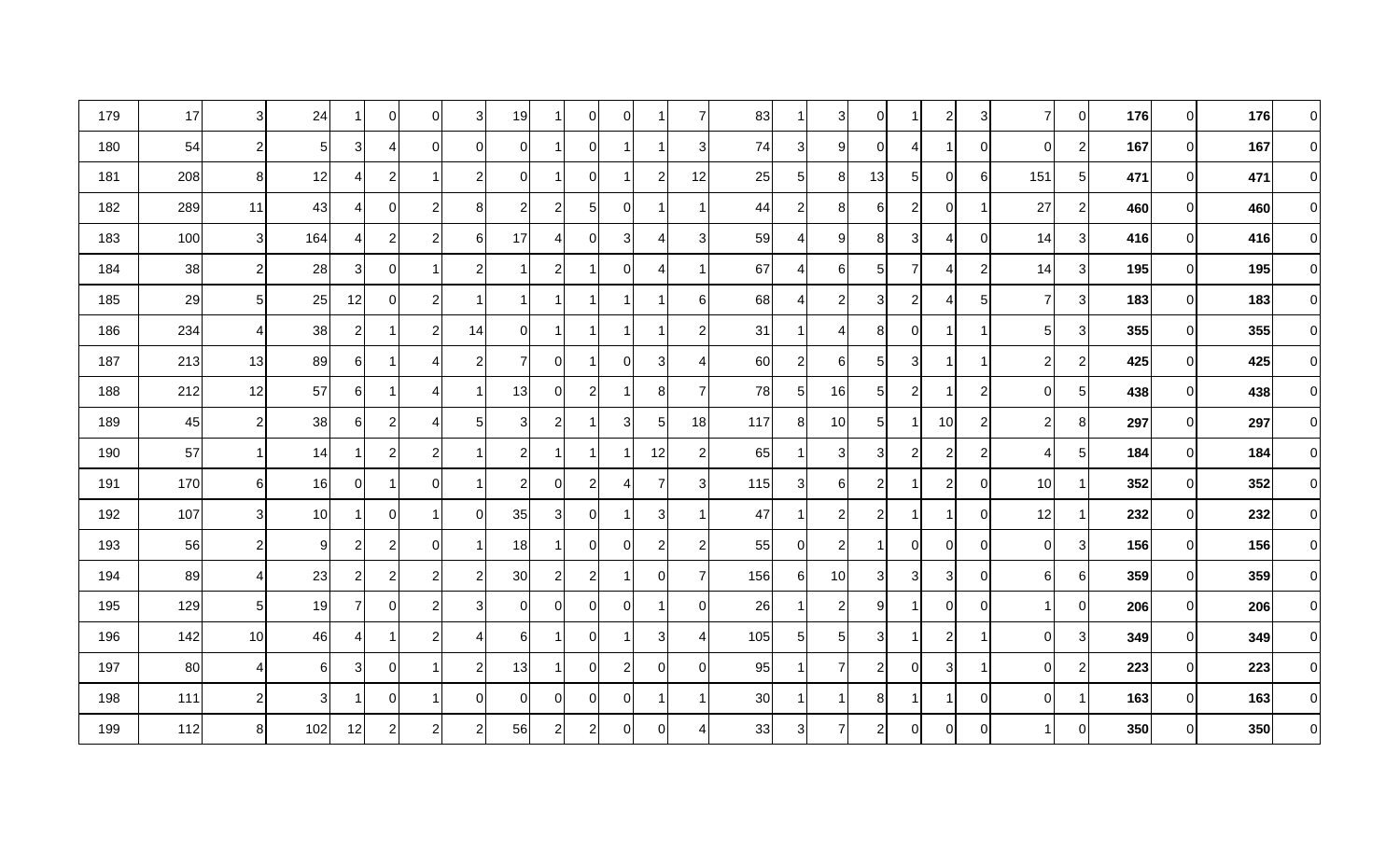| 179 | 17  | 3 <sup>l</sup> | 24              | 1              | $\overline{0}$ | 0              | 3 <sup>l</sup> | 19             |                | $\overline{0}$ | $\mathbf 0$    |                | 7              | 83  | -1             | 3               | 0              |                | $\mathbf{2}$   | 3                |                | $\overline{0}$ | 176 | 01             | 176 | 0        |
|-----|-----|----------------|-----------------|----------------|----------------|----------------|----------------|----------------|----------------|----------------|----------------|----------------|----------------|-----|----------------|-----------------|----------------|----------------|----------------|------------------|----------------|----------------|-----|----------------|-----|----------|
| 180 | 54  | $\mathbf{2}$   | 5 <sup>1</sup>  | $\overline{3}$ | $\overline{4}$ | 0              | $\overline{0}$ | 0I             |                | $\overline{0}$ |                |                | 3              | 74  | 3              | 9               |                | 4              |                | $\overline{0}$   | $\mathbf 0$    | $\mathbf{2}$   | 167 | 01             | 167 | $\Omega$ |
| 181 | 208 | 8              | 12              | 4              | $\mathbf{2}$   |                | $\overline{c}$ | 01             |                | $\overline{0}$ |                | $\overline{c}$ | 12             | 25  | 5 <sub>l</sub> | 8 <sup>1</sup>  | 13             | 5              | 0              | $6 \overline{6}$ | 151            | $5\vert$       | 471 | 01             | 471 | $\Omega$ |
| 182 | 289 | 11             | 43              | 4              | 0              | $\overline{c}$ | 8              | 2              | $\mathbf{2}$   | 5 <sub>l</sub> | $\Omega$       |                |                | 44  | $\overline{c}$ | 8 <sup>1</sup>  | 61             | 2              | $\overline{0}$ | 1                | 27             | $\mathbf{2}$   | 460 | $\Omega$       | 460 | $\Omega$ |
| 183 | 100 | 3 <sup>l</sup> | 164             | 41             | $\mathbf{2}$   | $\overline{2}$ | 61             | 17             | 41             | $\overline{0}$ | $\sqrt{3}$     | Δ              | 3              | 59  | $\overline{4}$ | 9               | 8              | 3              | 4              | $\overline{0}$   | 14             | 3              | 416 | ΟI             | 416 | $\Omega$ |
| 184 | 38  | $\overline{2}$ | 28              | $\overline{3}$ | $\overline{0}$ | -1             | 2              |                | $\mathbf{2}$   |                | 0              |                | -1             | 67  | $\overline{4}$ | 6               | 5              | 7              | 4              | $\overline{c}$   | 14             | $\overline{3}$ | 195 | $\overline{0}$ | 195 | $\Omega$ |
| 185 | 29  | $5 \mid$       | 25              | 12             | $\Omega$       | 2              |                |                |                | 1              | -1             |                | 6              | 68  | 4              | $\mathbf{2}$    | 3              | 2              | 4              | 5                | $\overline{7}$ | $\overline{3}$ | 183 | 01             | 183 | $\Omega$ |
| 186 | 234 | $\overline{4}$ | 38              | $\overline{2}$ | 1              | $\overline{2}$ | 14             | ΟI             |                | 1              | -1             |                | $\overline{2}$ | 31  | $\mathbf 1$    | 4               | 8              | $\Omega$       |                | -1               | $5 \mid$       | $\overline{3}$ | 355 | 01             | 355 | $\Omega$ |
| 187 | 213 | 13             | 89              | 6              | 1              | Δ              | $\overline{2}$ | 7              | 0              | 1              | $\mathbf 0$    | 3              | 4              | 60  | $\overline{c}$ | 6               | 5              | 3              |                | -1               | $\overline{2}$ | $\mathbf{2}$   | 425 | 01             | 425 | $\Omega$ |
| 188 | 212 | 12             | 57              | 6              | 1              | 4              |                | 13             | 01             | $\mathbf{2}$   |                | 8              | $\overline{7}$ | 78  | 5 <sub>5</sub> | 16              | 5 <sub>l</sub> | $\overline{2}$ |                | $\overline{c}$   | $\overline{0}$ | $5\vert$       | 438 | $\overline{0}$ | 438 | $\Omega$ |
| 189 | 45  | $\mathbf{2}$   | 38              | $6 \mid$       | $\mathbf{2}$   | 4              | 5              | 3 <sup>1</sup> | $\mathbf{2}$   | 1              | 3              | 5              | 18             | 117 | 8 <sup>1</sup> | 10 <sup>1</sup> | 5 <sub>l</sub> |                | 10             | $\overline{c}$   | 2              | 8 <sup>1</sup> | 297 | $\overline{0}$ | 297 | $\Omega$ |
| 190 | 57  | -1             | 14              | 1              | $\mathbf{2}$   | $\overline{c}$ |                | 2              |                | 1              |                | 12             | $\overline{c}$ | 65  | 1              | 3               | 3              | 2              | $\overline{a}$ | $\overline{c}$   | 4              | $5\vert$       | 184 | 01             | 184 | $\Omega$ |
| 191 | 170 | 6              | 16              | 0              | 1              | $\mathbf 0$    |                | 21             | 0              | $\mathbf{2}$   | 4              | 7              | 3              | 115 | 3 <sup>1</sup> | $6 \mid$        | $\mathbf{2}$   |                | $\overline{a}$ | $\overline{0}$   | 10             |                | 352 | 01             | 352 | $\Omega$ |
| 192 | 107 | 3 <sup>l</sup> | 10 <sup>1</sup> |                | 0              | -1             | ΟI             | 35             | 3              | $\overline{0}$ | 1              | 3              |                | 47  | -1             | $\mathbf{2}$    | 2              |                |                | $\overline{0}$   | 12             | 1              | 232 | ΩI             | 232 | $\Omega$ |
| 193 | 56  | 2              | 9               | $\mathbf{2}$   | $\mathbf{2}$   | $\Omega$       |                | 18             |                | $\overline{0}$ | 0              | $\overline{2}$ | $\overline{2}$ | 55  | $\overline{0}$ | $\overline{c}$  |                | $\Omega$       | 0              | $\overline{0}$   | $\Omega$       | $\overline{3}$ | 156 | $\overline{0}$ | 156 | $\Omega$ |
| 194 | 89  | 4 <sub>l</sub> | 23              | $\overline{2}$ | $\mathbf{2}$   | 2              | $\overline{2}$ | 30             | $\overline{2}$ | $\mathbf{2}$   |                | $\Omega$       | 7              | 156 | 6              | 10I             | 3              | 3              | 3              | $\overline{0}$   | 61             | 6              | 359 | 01             | 359 | $\Omega$ |
| 195 | 129 | 5 <sub>l</sub> | 19              | $\overline{7}$ | 0              | $\overline{2}$ | 31             | $\Omega$       | 01             | $\overline{0}$ | $\mathbf 0$    |                | $\mathbf 0$    | 26  | $\mathbf{1}$   | $\mathbf{2}$    | 9              | 1              | $\overline{0}$ | $\mathbf 0$      |                | $\overline{0}$ | 206 | 01             | 206 | $\Omega$ |
| 196 | 142 | 10             | 46              | 4              | 1              | $\overline{2}$ | ⊿              | 6              |                | 0              |                | 3              | 4              | 105 | $5 \mid$       | 5 <sub>l</sub>  | 3              |                | $\overline{2}$ | 1                | $\Omega$       | $\overline{3}$ | 349 | 01             | 349 | $\Omega$ |
| 197 | 80  | $\overline{4}$ | 6               | $\overline{3}$ | $\overline{0}$ |                | $\overline{c}$ | 13             |                | $\overline{0}$ | $\overline{c}$ | $\Omega$       | $\Omega$       | 95  | $\mathbf 1$    | $\overline{7}$  | 2              | $\overline{0}$ | 3 <sup>1</sup> | 1                | $\Omega$       | $\mathbf{2}$   | 223 | ٥I             | 223 | $\Omega$ |
| 198 | 111 | $\overline{2}$ | 3               |                | $\overline{0}$ |                | $\overline{0}$ | ΟI             | 0              | $\overline{0}$ | $\mathbf 0$    |                |                | 30  | 1              |                 | 8              |                |                | $\mathbf 0$      | $\Omega$       | 1              | 163 | $\overline{0}$ | 163 | 0        |
| 199 | 112 | 8 <sup>1</sup> | 102             | 12             | $\mathbf{2}$   | $\overline{2}$ | 2              | 56             | $\overline{2}$ | $\mathbf{2}$   | 0              | $\Omega$       | ⊿              | 33  | 3 <sup>1</sup> | 7               | $2\vert$       | $\overline{0}$ | $\overline{0}$ | $\overline{0}$   |                | $\overline{0}$ | 350 | 01             | 350 | $\Omega$ |